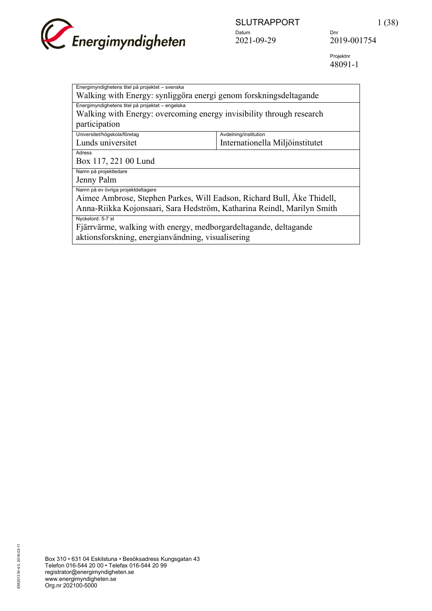

 Projektnr 48091-1

| Energimyndighetens titel på projektet - svenska                        |                                 |  |
|------------------------------------------------------------------------|---------------------------------|--|
| Walking with Energy: synliggöra energi genom forskningsdeltagande      |                                 |  |
| Energimyndighetens titel på projektet - engelska                       |                                 |  |
| Walking with Energy: overcoming energy invisibility through research   |                                 |  |
| participation                                                          |                                 |  |
| Universitet/högskola/företag                                           | Avdelning/institution           |  |
| Lunds universitet                                                      | Internationella Miljöinstitutet |  |
| Adress                                                                 |                                 |  |
| Box 117, 221 00 Lund                                                   |                                 |  |
| Namn på projektledare                                                  |                                 |  |
| Jenny Palm                                                             |                                 |  |
| Namn på ev övriga projektdeltagare                                     |                                 |  |
| Aimee Ambrose, Stephen Parkes, Will Eadson, Richard Bull, Åke Thidell, |                                 |  |
| Anna-Riikka Kojonsaari, Sara Hedström, Katharina Reindl, Marilyn Smith |                                 |  |
| Nyckelord: 5-7 st                                                      |                                 |  |
| Fjärrvärme, walking with energy, medborgardeltagande, deltagande       |                                 |  |
| aktionsforskning, energianvändning, visualisering                      |                                 |  |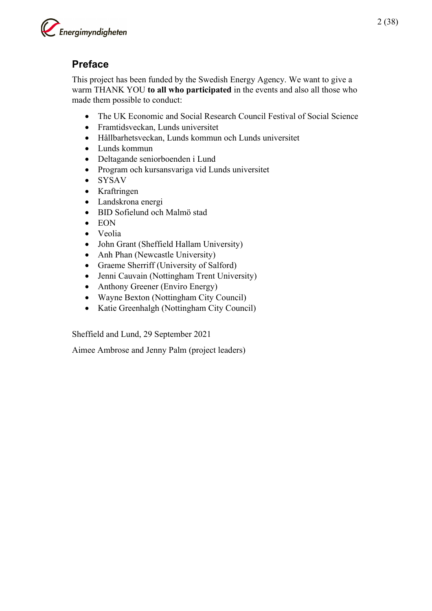

## **Preface**

This project has been funded by the Swedish Energy Agency. We want to give a warm THANK YOU **to all who participated** in the events and also all those who made them possible to conduct:

- The UK Economic and Social Research Council Festival of Social Science
- Framtidsveckan, Lunds universitet
- Hållbarhetsveckan, Lunds kommun och Lunds universitet
- Lunds kommun
- Deltagande seniorboenden i Lund
- Program och kursansvariga vid Lunds universitet
- SYSAV
- Kraftringen
- Landskrona energi
- BID Sofielund och Malmö stad
- EON
- Veolia
- John Grant (Sheffield Hallam University)
- Anh Phan (Newcastle University)
- Graeme Sherriff (University of Salford)
- Jenni Cauvain (Nottingham Trent University)
- Anthony Greener (Enviro Energy)
- Wayne Bexton (Nottingham City Council)
- Katie Greenhalgh (Nottingham City Council)

Sheffield and Lund, 29 September 2021

Aimee Ambrose and Jenny Palm (project leaders)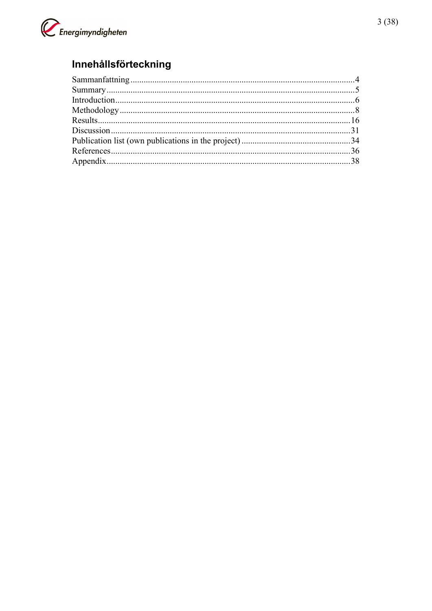

## Innehållsförteckning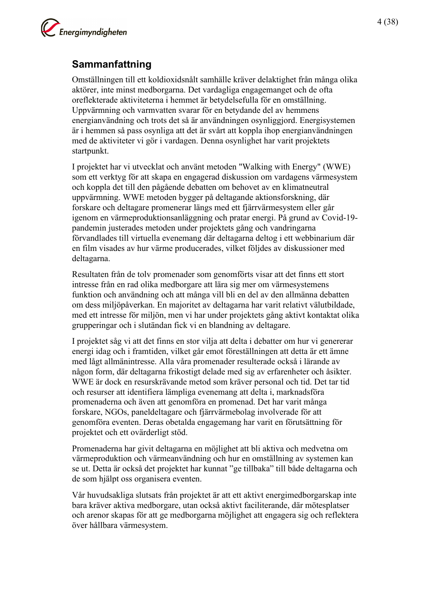

## <span id="page-3-0"></span>**Sammanfattning**

Omställningen till ett koldioxidsnålt samhälle kräver delaktighet från många olika aktörer, inte minst medborgarna. Det vardagliga engagemanget och de ofta oreflekterade aktiviteterna i hemmet är betydelsefulla för en omställning. Uppvärmning och varmvatten svarar för en betydande del av hemmens energianvändning och trots det så är användningen osynliggjord. Energisystemen är i hemmen så pass osynliga att det är svårt att koppla ihop energianvändningen med de aktiviteter vi gör i vardagen. Denna osynlighet har varit projektets startpunkt.

I projektet har vi utvecklat och använt metoden "Walking with Energy" (WWE) som ett verktyg för att skapa en engagerad diskussion om vardagens värmesystem och koppla det till den pågående debatten om behovet av en klimatneutral uppvärmning. WWE metoden bygger på deltagande aktionsforskning, där forskare och deltagare promenerar längs med ett fjärrvärmesystem eller går igenom en värmeproduktionsanläggning och pratar energi. På grund av Covid-19 pandemin justerades metoden under projektets gång och vandringarna förvandlades till virtuella evenemang där deltagarna deltog i ett webbinarium där en film visades av hur värme producerades, vilket följdes av diskussioner med deltagarna.

Resultaten från de tolv promenader som genomförts visar att det finns ett stort intresse från en rad olika medborgare att lära sig mer om värmesystemens funktion och användning och att många vill bli en del av den allmänna debatten om dess miljöpåverkan. En majoritet av deltagarna har varit relativt välutbildade, med ett intresse för miljön, men vi har under projektets gång aktivt kontaktat olika grupperingar och i slutändan fick vi en blandning av deltagare.

I projektet såg vi att det finns en stor vilja att delta i debatter om hur vi genererar energi idag och i framtiden, vilket går emot föreställningen att detta är ett ämne med lågt allmänintresse. Alla våra promenader resulterade också i lärande av någon form, där deltagarna frikostigt delade med sig av erfarenheter och åsikter. WWE är dock en resurskrävande metod som kräver personal och tid. Det tar tid och resurser att identifiera lämpliga evenemang att delta i, marknadsföra promenaderna och även att genomföra en promenad. Det har varit många forskare, NGOs, paneldeltagare och fjärrvärmebolag involverade för att genomföra eventen. Deras obetalda engagemang har varit en förutsättning för projektet och ett ovärderligt stöd.

Promenaderna har givit deltagarna en möjlighet att bli aktiva och medvetna om värmeproduktion och värmeanvändning och hur en omställning av systemen kan se ut. Detta är också det projektet har kunnat "ge tillbaka" till både deltagarna och de som hjälpt oss organisera eventen.

Vår huvudsakliga slutsats från projektet är att ett aktivt energimedborgarskap inte bara kräver aktiva medborgare, utan också aktivt faciliterande, där mötesplatser och arenor skapas för att ge medborgarna möjlighet att engagera sig och reflektera över hållbara värmesystem.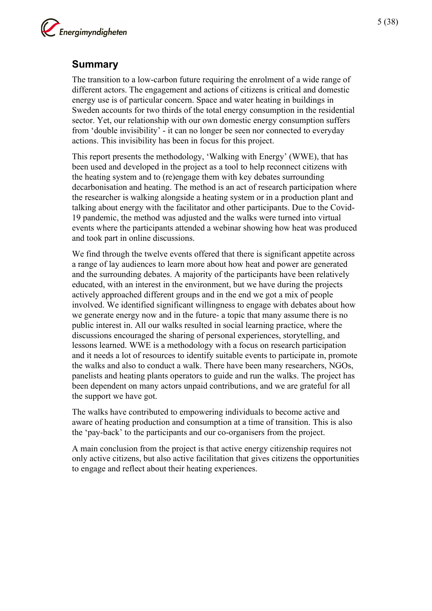

## <span id="page-4-0"></span>**Summary**

The transition to a low-carbon future requiring the enrolment of a wide range of different actors. The engagement and actions of citizens is critical and domestic energy use is of particular concern. Space and water heating in buildings in Sweden accounts for two thirds of the total energy consumption in the residential sector. Yet, our relationship with our own domestic energy consumption suffers from 'double invisibility' - it can no longer be seen nor connected to everyday actions. This invisibility has been in focus for this project.

This report presents the methodology, 'Walking with Energy' (WWE), that has been used and developed in the project as a tool to help reconnect citizens with the heating system and to (re)engage them with key debates surrounding decarbonisation and heating. The method is an act of research participation where the researcher is walking alongside a heating system or in a production plant and talking about energy with the facilitator and other participants. Due to the Covid-19 pandemic, the method was adjusted and the walks were turned into virtual events where the participants attended a webinar showing how heat was produced and took part in online discussions.

We find through the twelve events offered that there is significant appetite across a range of lay audiences to learn more about how heat and power are generated and the surrounding debates. A majority of the participants have been relatively educated, with an interest in the environment, but we have during the projects actively approached different groups and in the end we got a mix of people involved. We identified significant willingness to engage with debates about how we generate energy now and in the future- a topic that many assume there is no public interest in. All our walks resulted in social learning practice, where the discussions encouraged the sharing of personal experiences, storytelling, and lessons learned. WWE is a methodology with a focus on research participation and it needs a lot of resources to identify suitable events to participate in, promote the walks and also to conduct a walk. There have been many researchers, NGOs, panelists and heating plants operators to guide and run the walks. The project has been dependent on many actors unpaid contributions, and we are grateful for all the support we have got.

The walks have contributed to empowering individuals to become active and aware of heating production and consumption at a time of transition. This is also the 'pay-back' to the participants and our co-organisers from the project.

A main conclusion from the project is that active energy citizenship requires not only active citizens, but also active facilitation that gives citizens the opportunities to engage and reflect about their heating experiences.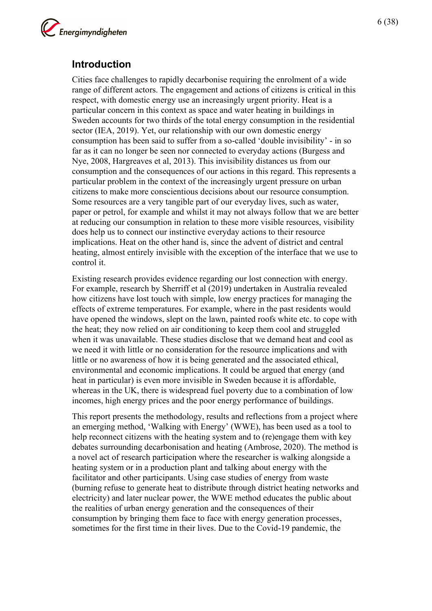

## <span id="page-5-0"></span>**Introduction**

Cities face challenges to rapidly decarbonise requiring the enrolment of a wide range of different actors. The engagement and actions of citizens is critical in this respect, with domestic energy use an increasingly urgent priority. Heat is a particular concern in this context as space and water heating in buildings in Sweden accounts for two thirds of the total energy consumption in the residential sector (IEA, 2019). Yet, our relationship with our own domestic energy consumption has been said to suffer from a so-called 'double invisibility' - in so far as it can no longer be seen nor connected to everyday actions (Burgess and Nye, 2008, Hargreaves et al, 2013). This invisibility distances us from our consumption and the consequences of our actions in this regard. This represents a particular problem in the context of the increasingly urgent pressure on urban citizens to make more conscientious decisions about our resource consumption. Some resources are a very tangible part of our everyday lives, such as water, paper or petrol, for example and whilst it may not always follow that we are better at reducing our consumption in relation to these more visible resources, visibility does help us to connect our instinctive everyday actions to their resource implications. Heat on the other hand is, since the advent of district and central heating, almost entirely invisible with the exception of the interface that we use to control it.

Existing research provides evidence regarding our lost connection with energy. For example, research by Sherriff et al (2019) undertaken in Australia revealed how citizens have lost touch with simple, low energy practices for managing the effects of extreme temperatures. For example, where in the past residents would have opened the windows, slept on the lawn, painted roofs white etc. to cope with the heat; they now relied on air conditioning to keep them cool and struggled when it was unavailable. These studies disclose that we demand heat and cool as we need it with little or no consideration for the resource implications and with little or no awareness of how it is being generated and the associated ethical, environmental and economic implications. It could be argued that energy (and heat in particular) is even more invisible in Sweden because it is affordable, whereas in the UK, there is widespread fuel poverty due to a combination of low incomes, high energy prices and the poor energy performance of buildings.

This report presents the methodology, results and reflections from a project where an emerging method, 'Walking with Energy' (WWE), has been used as a tool to help reconnect citizens with the heating system and to (re)engage them with key debates surrounding decarbonisation and heating (Ambrose, 2020). The method is a novel act of research participation where the researcher is walking alongside a heating system or in a production plant and talking about energy with the facilitator and other participants. Using case studies of energy from waste (burning refuse to generate heat to distribute through district heating networks and electricity) and later nuclear power, the WWE method educates the public about the realities of urban energy generation and the consequences of their consumption by bringing them face to face with energy generation processes, sometimes for the first time in their lives. Due to the Covid-19 pandemic, the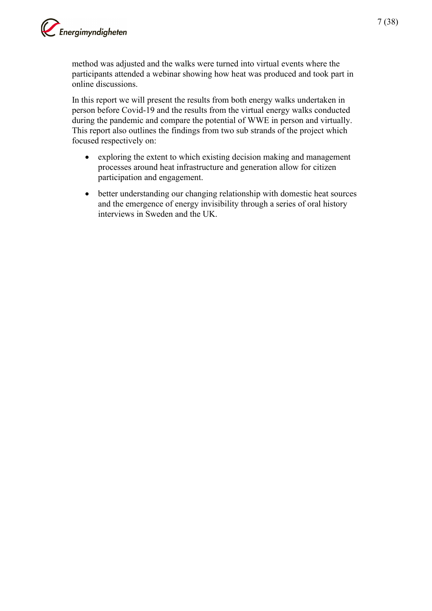

method was adjusted and the walks were turned into virtual events where the participants attended a webinar showing how heat was produced and took part in online discussions.

In this report we will present the results from both energy walks undertaken in person before Covid-19 and the results from the virtual energy walks conducted during the pandemic and compare the potential of WWE in person and virtually. This report also outlines the findings from two sub strands of the project which focused respectively on:

- exploring the extent to which existing decision making and management processes around heat infrastructure and generation allow for citizen participation and engagement.
- better understanding our changing relationship with domestic heat sources and the emergence of energy invisibility through a series of oral history interviews in Sweden and the UK.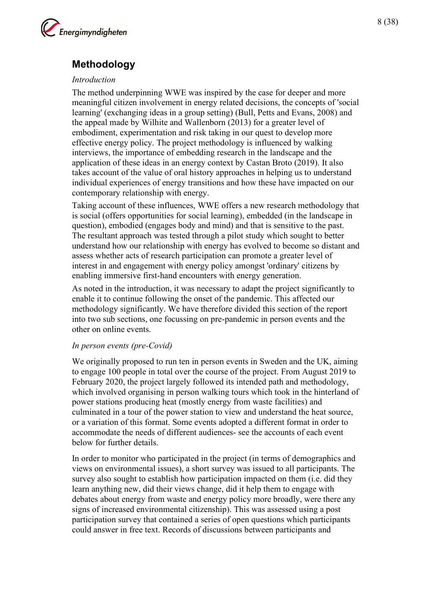

## <span id="page-7-0"></span>**Methodology**

#### *Introduction*

The method underpinning WWE was inspired by the case for deeper and more meaningful citizen involvement in energy related decisions, the concepts of 'social learning' (exchanging ideas in a group setting) (Bull, Petts and Evans, 2008) and the appeal made by Wilhite and Wallenborn (2013) for a greater level of embodiment, experimentation and risk taking in our quest to develop more effective energy policy. The project methodology is influenced by walking interviews, the importance of embedding research in the landscape and the application of these ideas in an energy context by Castan Broto (2019). It also takes account of the value of oral history approaches in helping us to understand individual experiences of energy transitions and how these have impacted on our contemporary relationship with energy.

Taking account of these influences, WWE offers a new research methodology that is social (offers opportunities for social learning), embedded (in the landscape in question), embodied (engages body and mind) and that is sensitive to the past. The resultant approach was tested through a pilot study which sought to better understand how our relationship with energy has evolved to become so distant and assess whether acts of research participation can promote a greater level of interest in and engagement with energy policy amongst 'ordinary' citizens by enabling immersive first-hand encounters with energy generation.

As noted in the introduction, it was necessary to adapt the project significantly to enable it to continue following the onset of the pandemic. This affected our methodology significantly. We have therefore divided this section of the report into two sub sections, one focussing on pre-pandemic in person events and the other on online events.

#### *In person events (pre-Covid)*

We originally proposed to run ten in person events in Sweden and the UK, aiming to engage 100 people in total over the course of the project. From August 2019 to February 2020, the project largely followed its intended path and methodology, which involved organising in person walking tours which took in the hinterland of power stations producing heat (mostly energy from waste facilities) and culminated in a tour of the power station to view and understand the heat source, or a variation of this format. Some events adopted a different format in order to accommodate the needs of different audiences- see the accounts of each event below for further details.

In order to monitor who participated in the project (in terms of demographics and views on environmental issues), a short survey was issued to all participants. The survey also sought to establish how participation impacted on them (i.e. did they learn anything new, did their views change, did it help them to engage with debates about energy from waste and energy policy more broadly, were there any signs of increased environmental citizenship). This was assessed using a post participation survey that contained a series of open questions which participants could answer in free text. Records of discussions between participants and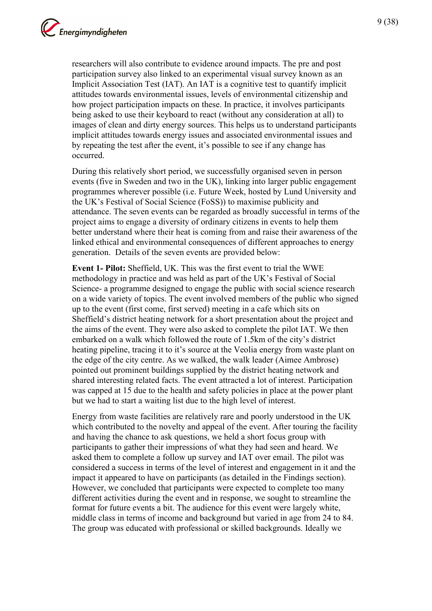researchers will also contribute to evidence around impacts. The pre and post participation survey also linked to an experimental visual survey known as an Implicit Association Test (IAT). An IAT is a cognitive test to quantify implicit attitudes towards environmental issues, levels of environmental citizenship and how project participation impacts on these. In practice, it involves participants being asked to use their keyboard to react (without any consideration at all) to images of clean and dirty energy sources. This helps us to understand participants implicit attitudes towards energy issues and associated environmental issues and by repeating the test after the event, it's possible to see if any change has occurred.

During this relatively short period, we successfully organised seven in person events (five in Sweden and two in the UK), linking into larger public engagement programmes wherever possible (i.e. Future Week, hosted by Lund University and the UK's Festival of Social Science (FoSS)) to maximise publicity and attendance. The seven events can be regarded as broadly successful in terms of the project aims to engage a diversity of ordinary citizens in events to help them better understand where their heat is coming from and raise their awareness of the linked ethical and environmental consequences of different approaches to energy generation. Details of the seven events are provided below:

**Event 1- Pilot:** Sheffield, UK. This was the first event to trial the WWE methodology in practice and was held as part of the UK's Festival of Social Science- a programme designed to engage the public with social science research on a wide variety of topics. The event involved members of the public who signed up to the event (first come, first served) meeting in a cafe which sits on Sheffield's district heating network for a short presentation about the project and the aims of the event. They were also asked to complete the pilot IAT. We then embarked on a walk which followed the route of 1.5km of the city's district heating pipeline, tracing it to it's source at the Veolia energy from waste plant on the edge of the city centre. As we walked, the walk leader (Aimee Ambrose) pointed out prominent buildings supplied by the district heating network and shared interesting related facts. The event attracted a lot of interest. Participation was capped at 15 due to the health and safety policies in place at the power plant but we had to start a waiting list due to the high level of interest.

Energy from waste facilities are relatively rare and poorly understood in the UK which contributed to the novelty and appeal of the event. After touring the facility and having the chance to ask questions, we held a short focus group with participants to gather their impressions of what they had seen and heard. We asked them to complete a follow up survey and IAT over email. The pilot was considered a success in terms of the level of interest and engagement in it and the impact it appeared to have on participants (as detailed in the Findings section). However, we concluded that participants were expected to complete too many different activities during the event and in response, we sought to streamline the format for future events a bit. The audience for this event were largely white, middle class in terms of income and background but varied in age from 24 to 84. The group was educated with professional or skilled backgrounds. Ideally we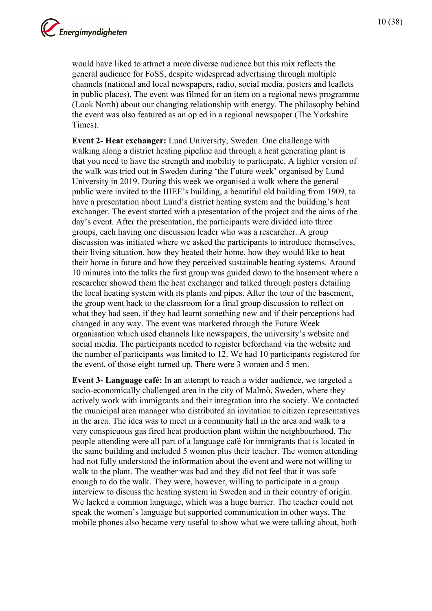would have liked to attract a more diverse audience but this mix reflects the general audience for FoSS, despite widespread advertising through multiple channels (national and local newspapers, radio, social media, posters and leaflets in public places). The event was filmed for an item on a regional news programme (Look North) about our changing relationship with energy. The philosophy behind the event was also featured as an op ed in a regional newspaper (The Yorkshire Times).

**Event 2- Heat exchanger:** Lund University, Sweden. One challenge with walking along a district heating pipeline and through a heat generating plant is that you need to have the strength and mobility to participate. A lighter version of the walk was tried out in Sweden during 'the Future week' organised by Lund University in 2019. During this week we organised a walk where the general public were invited to the IIIEE's building, a beautiful old building from 1909, to have a presentation about Lund's district heating system and the building's heat exchanger. The event started with a presentation of the project and the aims of the day's event. After the presentation, the participants were divided into three groups, each having one discussion leader who was a researcher. A group discussion was initiated where we asked the participants to introduce themselves, their living situation, how they heated their home, how they would like to heat their home in future and how they perceived sustainable heating systems. Around 10 minutes into the talks the first group was guided down to the basement where a researcher showed them the heat exchanger and talked through posters detailing the local heating system with its plants and pipes. After the tour of the basement, the group went back to the classroom for a final group discussion to reflect on what they had seen, if they had learnt something new and if their perceptions had changed in any way. The event was marketed through the Future Week organisation which used channels like newspapers, the university's website and social media. The participants needed to register beforehand via the website and the number of participants was limited to 12. We had 10 participants registered for the event, of those eight turned up. There were 3 women and 5 men.

**Event 3- Language café:** In an attempt to reach a wider audience, we targeted a socio-economically challenged area in the city of Malmö, Sweden, where they actively work with immigrants and their integration into the society. We contacted the municipal area manager who distributed an invitation to citizen representatives in the area. The idea was to meet in a community hall in the area and walk to a very conspicuous gas fired heat production plant within the neighbourhood. The people attending were all part of a language café for immigrants that is located in the same building and included 5 women plus their teacher. The women attending had not fully understood the information about the event and were not willing to walk to the plant. The weather was bad and they did not feel that it was safe enough to do the walk. They were, however, willing to participate in a group interview to discuss the heating system in Sweden and in their country of origin. We lacked a common language, which was a huge barrier. The teacher could not speak the women's language but supported communication in other ways. The mobile phones also became very useful to show what we were talking about, both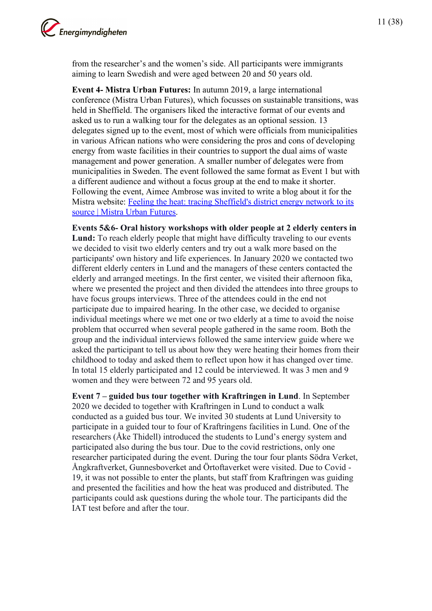

from the researcher's and the women's side. All participants were immigrants aiming to learn Swedish and were aged between 20 and 50 years old.

**Event 4- Mistra Urban Futures:** In autumn 2019, a large international conference (Mistra Urban Futures), which focusses on sustainable transitions, was held in Sheffield. The organisers liked the interactive format of our events and asked us to run a walking tour for the delegates as an optional session. 13 delegates signed up to the event, most of which were officials from municipalities in various African nations who were considering the pros and cons of developing energy from waste facilities in their countries to support the dual aims of waste management and power generation. A smaller number of delegates were from municipalities in Sweden. The event followed the same format as Event 1 but with a different audience and without a focus group at the end to make it shorter. Following the event, Aimee Ambrose was invited to write a blog about it for the Mistra website: [Feeling the heat: tracing Sheffield's district energy network to its](https://www.mistraurbanfutures.org/en/blog/feeling-heat-tracing-sheffields-district-energy-network-its-source)  [source | Mistra Urban Futures.](https://www.mistraurbanfutures.org/en/blog/feeling-heat-tracing-sheffields-district-energy-network-its-source)

**Events 5&6- Oral history workshops with older people at 2 elderly centers in Lund:** To reach elderly people that might have difficulty traveling to our events we decided to visit two elderly centers and try out a walk more based on the participants' own history and life experiences. In January 2020 we contacted two different elderly centers in Lund and the managers of these centers contacted the elderly and arranged meetings. In the first center, we visited their afternoon fika, where we presented the project and then divided the attendees into three groups to have focus groups interviews. Three of the attendees could in the end not participate due to impaired hearing. In the other case, we decided to organise individual meetings where we met one or two elderly at a time to avoid the noise problem that occurred when several people gathered in the same room. Both the group and the individual interviews followed the same interview guide where we asked the participant to tell us about how they were heating their homes from their childhood to today and asked them to reflect upon how it has changed over time. In total 15 elderly participated and 12 could be interviewed. It was 3 men and 9 women and they were between 72 and 95 years old.

**Event 7 – guided bus tour together with Kraftringen in Lund**. In September 2020 we decided to together with Kraftringen in Lund to conduct a walk conducted as a guided bus tour. We invited 30 students at Lund University to participate in a guided tour to four of Kraftringens facilities in Lund. One of the researchers (Åke Thidell) introduced the students to Lund's energy system and participated also during the bus tour. Due to the covid restrictions, only one researcher participated during the event. During the tour four plants Södra Verket, Ångkraftverket, Gunnesboverket and Örtoftaverket were visited. Due to Covid - 19, it was not possible to enter the plants, but staff from Kraftringen was guiding and presented the facilities and how the heat was produced and distributed. The participants could ask questions during the whole tour. The participants did the IAT test before and after the tour.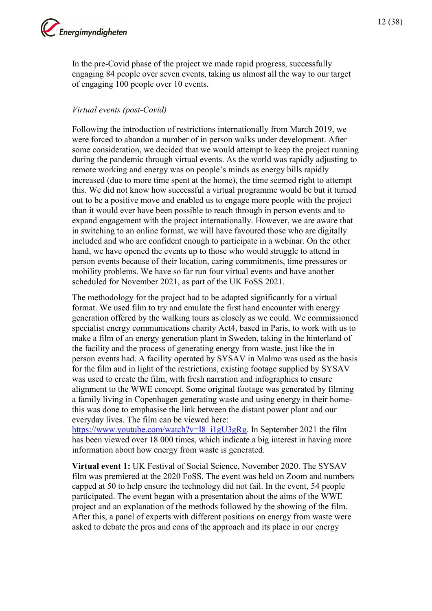

In the pre-Covid phase of the project we made rapid progress, successfully engaging 84 people over seven events, taking us almost all the way to our target of engaging 100 people over 10 events.

#### *Virtual events (post-Covid)*

Following the introduction of restrictions internationally from March 2019, we were forced to abandon a number of in person walks under development. After some consideration, we decided that we would attempt to keep the project running during the pandemic through virtual events. As the world was rapidly adjusting to remote working and energy was on people's minds as energy bills rapidly increased (due to more time spent at the home), the time seemed right to attempt this. We did not know how successful a virtual programme would be but it turned out to be a positive move and enabled us to engage more people with the project than it would ever have been possible to reach through in person events and to expand engagement with the project internationally. However, we are aware that in switching to an online format, we will have favoured those who are digitally included and who are confident enough to participate in a webinar. On the other hand, we have opened the events up to those who would struggle to attend in person events because of their location, caring commitments, time pressures or mobility problems. We have so far run four virtual events and have another scheduled for November 2021, as part of the UK FoSS 2021.

The methodology for the project had to be adapted significantly for a virtual format. We used film to try and emulate the first hand encounter with energy generation offered by the walking tours as closely as we could. We commissioned specialist energy communications charity Act4, based in Paris, to work with us to make a film of an energy generation plant in Sweden, taking in the hinterland of the facility and the process of generating energy from waste, just like the in person events had. A facility operated by SYSAV in Malmo was used as the basis for the film and in light of the restrictions, existing footage supplied by SYSAV was used to create the film, with fresh narration and infographics to ensure alignment to the WWE concept. Some original footage was generated by filming a family living in Copenhagen generating waste and using energy in their homethis was done to emphasise the link between the distant power plant and our everyday lives. The film can be viewed here:

[https://www.youtube.com/watch?v=I8\\_i1gU3gRg.](https://www.youtube.com/watch?v=I8_i1gU3gRg) In September 2021 the film has been viewed over 18 000 times, which indicate a big interest in having more information about how energy from waste is generated.

**Virtual event 1:** UK Festival of Social Science, November 2020. The SYSAV film was premiered at the 2020 FoSS. The event was held on Zoom and numbers capped at 50 to help ensure the technology did not fail. In the event, 54 people participated. The event began with a presentation about the aims of the WWE project and an explanation of the methods followed by the showing of the film. After this, a panel of experts with different positions on energy from waste were asked to debate the pros and cons of the approach and its place in our energy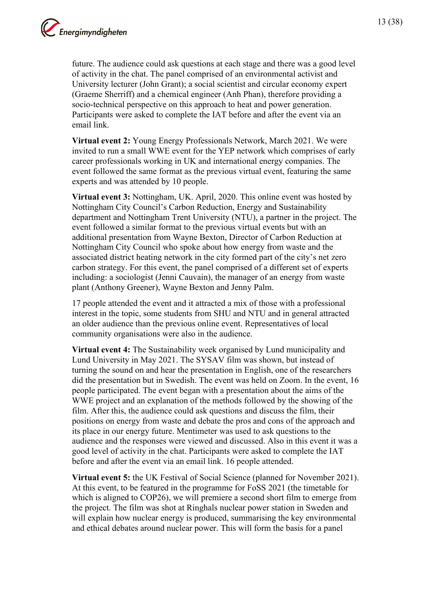

future. The audience could ask questions at each stage and there was a good level of activity in the chat. The panel comprised of an environmental activist and University lecturer (John Grant); a social scientist and circular economy expert (Graeme Sherriff) and a chemical engineer (Anh Phan), therefore providing a socio-technical perspective on this approach to heat and power generation. Participants were asked to complete the IAT before and after the event via an email link.

**Virtual event 2:** Young Energy Professionals Network, March 2021. We were invited to run a small WWE event for the YEP network which comprises of early career professionals working in UK and international energy companies. The event followed the same format as the previous virtual event, featuring the same experts and was attended by 10 people.

**Virtual event 3:** Nottingham, UK. April, 2020. This online event was hosted by Nottingham City Council's Carbon Reduction, Energy and Sustainability department and Nottingham Trent University (NTU), a partner in the project. The event followed a similar format to the previous virtual events but with an additional presentation from Wayne Bexton, Director of Carbon Reduction at Nottingham City Council who spoke about how energy from waste and the associated district heating network in the city formed part of the city's net zero carbon strategy. For this event, the panel comprised of a different set of experts including: a sociologist (Jenni Cauvain), the manager of an energy from waste plant (Anthony Greener), Wayne Bexton and Jenny Palm.

17 people attended the event and it attracted a mix of those with a professional interest in the topic, some students from SHU and NTU and in general attracted an older audience than the previous online event. Representatives of local community organisations were also in the audience.

**Virtual event 4:** The Sustainability week organised by Lund municipality and Lund University in May 2021. The SYSAV film was shown, but instead of turning the sound on and hear the presentation in English, one of the researchers did the presentation but in Swedish. The event was held on Zoom. In the event, 16 people participated. The event began with a presentation about the aims of the WWE project and an explanation of the methods followed by the showing of the film. After this, the audience could ask questions and discuss the film, their positions on energy from waste and debate the pros and cons of the approach and its place in our energy future. Mentimeter was used to ask questions to the audience and the responses were viewed and discussed. Also in this event it was a good level of activity in the chat. Participants were asked to complete the IAT before and after the event via an email link. 16 people attended.

**Virtual event 5:** the UK Festival of Social Science (planned for November 2021). At this event, to be featured in the programme for FoSS 2021 (the timetable for which is aligned to COP26), we will premiere a second short film to emerge from the project. The film was shot at Ringhals nuclear power station in Sweden and will explain how nuclear energy is produced, summarising the key environmental and ethical debates around nuclear power. This will form the basis for a panel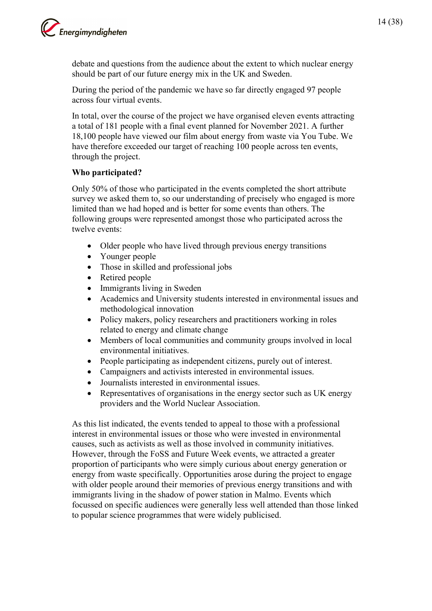

debate and questions from the audience about the extent to which nuclear energy should be part of our future energy mix in the UK and Sweden.

During the period of the pandemic we have so far directly engaged 97 people across four virtual events.

In total, over the course of the project we have organised eleven events attracting a total of 181 people with a final event planned for November 2021. A further 18,100 people have viewed our film about energy from waste via You Tube. We have therefore exceeded our target of reaching 100 people across ten events, through the project.

#### **Who participated?**

Only 50% of those who participated in the events completed the short attribute survey we asked them to, so our understanding of precisely who engaged is more limited than we had hoped and is better for some events than others. The following groups were represented amongst those who participated across the twelve events:

- Older people who have lived through previous energy transitions
- Younger people
- Those in skilled and professional jobs
- Retired people
- Immigrants living in Sweden
- Academics and University students interested in environmental issues and methodological innovation
- Policy makers, policy researchers and practitioners working in roles related to energy and climate change
- Members of local communities and community groups involved in local environmental initiatives.
- People participating as independent citizens, purely out of interest.
- Campaigners and activists interested in environmental issues.
- Journalists interested in environmental issues.
- Representatives of organisations in the energy sector such as UK energy providers and the World Nuclear Association.

As this list indicated, the events tended to appeal to those with a professional interest in environmental issues or those who were invested in environmental causes, such as activists as well as those involved in community initiatives. However, through the FoSS and Future Week events, we attracted a greater proportion of participants who were simply curious about energy generation or energy from waste specifically. Opportunities arose during the project to engage with older people around their memories of previous energy transitions and with immigrants living in the shadow of power station in Malmo. Events which focussed on specific audiences were generally less well attended than those linked to popular science programmes that were widely publicised.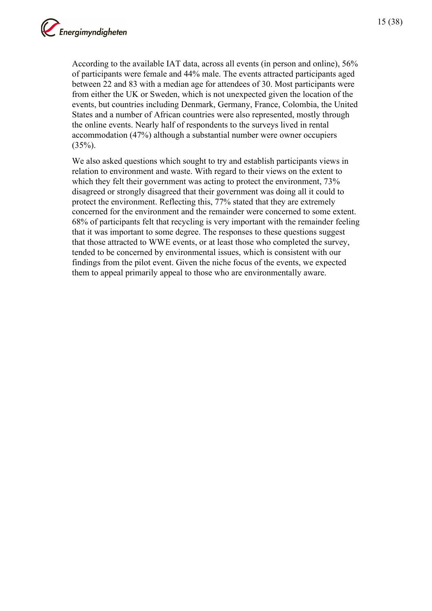According to the available IAT data, across all events (in person and online), 56% of participants were female and 44% male. The events attracted participants aged between 22 and 83 with a median age for attendees of 30. Most participants were from either the UK or Sweden, which is not unexpected given the location of the events, but countries including Denmark, Germany, France, Colombia, the United States and a number of African countries were also represented, mostly through the online events. Nearly half of respondents to the surveys lived in rental accommodation (47%) although a substantial number were owner occupiers  $(35\%)$ .

We also asked questions which sought to try and establish participants views in relation to environment and waste. With regard to their views on the extent to which they felt their government was acting to protect the environment,  $73\%$ disagreed or strongly disagreed that their government was doing all it could to protect the environment. Reflecting this, 77% stated that they are extremely concerned for the environment and the remainder were concerned to some extent. 68% of participants felt that recycling is very important with the remainder feeling that it was important to some degree. The responses to these questions suggest that those attracted to WWE events, or at least those who completed the survey, tended to be concerned by environmental issues, which is consistent with our findings from the pilot event. Given the niche focus of the events, we expected them to appeal primarily appeal to those who are environmentally aware.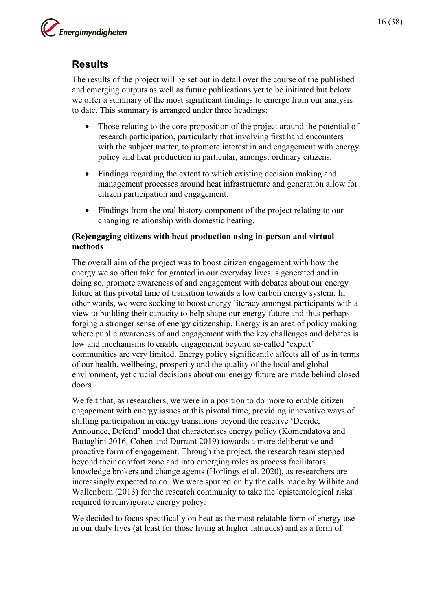

<span id="page-15-0"></span>The results of the project will be set out in detail over the course of the published and emerging outputs as well as future publications yet to be initiated but below we offer a summary of the most significant findings to emerge from our analysis to date. This summary is arranged under three headings:

- Those relating to the core proposition of the project around the potential of research participation, particularly that involving first hand encounters with the subject matter, to promote interest in and engagement with energy policy and heat production in particular, amongst ordinary citizens.
- Findings regarding the extent to which existing decision making and management processes around heat infrastructure and generation allow for citizen participation and engagement.
- Findings from the oral history component of the project relating to our changing relationship with domestic heating.

#### **(Re)engaging citizens with heat production using in-person and virtual methods**

The overall aim of the project was to boost citizen engagement with how the energy we so often take for granted in our everyday lives is generated and in doing so, promote awareness of and engagement with debates about our energy future at this pivotal time of transition towards a low carbon energy system. In other words, we were seeking to boost energy literacy amongst participants with a view to building their capacity to help shape our energy future and thus perhaps forging a stronger sense of energy citizenship. Energy is an area of policy making where public awareness of and engagement with the key challenges and debates is low and mechanisms to enable engagement beyond so-called 'expert' communities are very limited. Energy policy significantly affects all of us in terms of our health, wellbeing, prosperity and the quality of the local and global environment, yet crucial decisions about our energy future are made behind closed doors.

We felt that, as researchers, we were in a position to do more to enable citizen engagement with energy issues at this pivotal time, providing innovative ways of shifting participation in energy transitions beyond the reactive 'Decide, Announce, Defend' model that characterises energy policy (Komendatova and Battaglini 2016, Cohen and Durrant 2019) towards a more deliberative and proactive form of engagement. Through the project, the research team stepped beyond their comfort zone and into emerging roles as process facilitators, knowledge brokers and change agents (Horlings et al. 2020), as researchers are increasingly expected to do. We were spurred on by the calls made by Wilhite and Wallenborn (2013) for the research community to take the 'epistemological risks' required to reinvigorate energy policy.

We decided to focus specifically on heat as the most relatable form of energy use in our daily lives (at least for those living at higher latitudes) and as a form of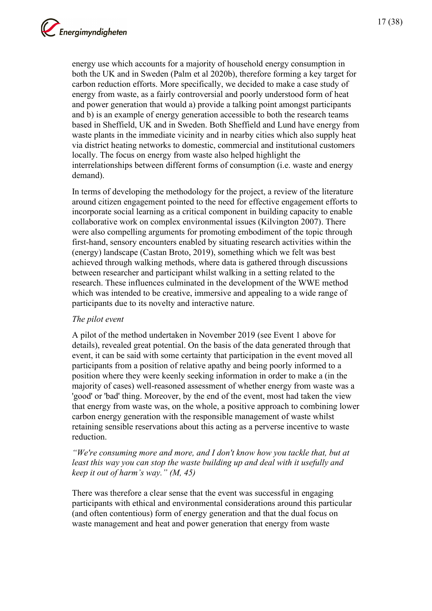17 (38)

energy use which accounts for a majority of household energy consumption in both the UK and in Sweden (Palm et al 2020b), therefore forming a key target for carbon reduction efforts. More specifically, we decided to make a case study of energy from waste, as a fairly controversial and poorly understood form of heat and power generation that would a) provide a talking point amongst participants and b) is an example of energy generation accessible to both the research teams based in Sheffield, UK and in Sweden. Both Sheffield and Lund have energy from waste plants in the immediate vicinity and in nearby cities which also supply heat via district heating networks to domestic, commercial and institutional customers locally. The focus on energy from waste also helped highlight the interrelationships between different forms of consumption (i.e. waste and energy demand).

In terms of developing the methodology for the project, a review of the literature around citizen engagement pointed to the need for effective engagement efforts to incorporate social learning as a critical component in building capacity to enable collaborative work on complex environmental issues (Kilvington 2007). There were also compelling arguments for promoting embodiment of the topic through first-hand, sensory encounters enabled by situating research activities within the (energy) landscape (Castan Broto, 2019), something which we felt was best achieved through walking methods, where data is gathered through discussions between researcher and participant whilst walking in a setting related to the research. These influences culminated in the development of the WWE method which was intended to be creative, immersive and appealing to a wide range of participants due to its novelty and interactive nature.

#### *The pilot event*

A pilot of the method undertaken in November 2019 (see Event 1 above for details), revealed great potential. On the basis of the data generated through that event, it can be said with some certainty that participation in the event moved all participants from a position of relative apathy and being poorly informed to a position where they were keenly seeking information in order to make a (in the majority of cases) well-reasoned assessment of whether energy from waste was a 'good' or 'bad' thing. Moreover, by the end of the event, most had taken the view that energy from waste was, on the whole, a positive approach to combining lower carbon energy generation with the responsible management of waste whilst retaining sensible reservations about this acting as a perverse incentive to waste reduction.

#### *"We're consuming more and more, and I don't know how you tackle that, but at*  least this way you can stop the waste building up and deal with it usefully and *keep it out of harm's way." (M, 45)*

There was therefore a clear sense that the event was successful in engaging participants with ethical and environmental considerations around this particular (and often contentious) form of energy generation and that the dual focus on waste management and heat and power generation that energy from waste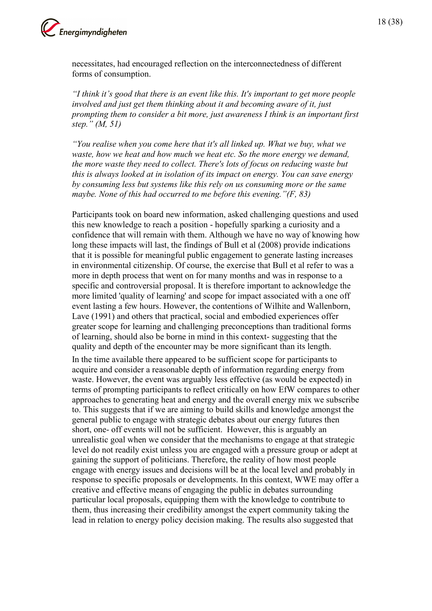

necessitates, had encouraged reflection on the interconnectedness of different forms of consumption.

*"I think it's good that there is an event like this. It's important to get more people involved and just get them thinking about it and becoming aware of it, just prompting them to consider a bit more, just awareness I think is an important first step." (M, 51)*

*"You realise when you come here that it's all linked up. What we buy, what we waste, how we heat and how much we heat etc. So the more energy we demand, the more waste they need to collect. There's lots of focus on reducing waste but this is always looked at in isolation of its impact on energy. You can save energy by consuming less but systems like this rely on us consuming more or the same maybe. None of this had occurred to me before this evening."(F, 83)* 

Participants took on board new information, asked challenging questions and used this new knowledge to reach a position - hopefully sparking a curiosity and a confidence that will remain with them. Although we have no way of knowing how long these impacts will last, the findings of Bull et al (2008) provide indications that it is possible for meaningful public engagement to generate lasting increases in environmental citizenship. Of course, the exercise that Bull et al refer to was a more in depth process that went on for many months and was in response to a specific and controversial proposal. It is therefore important to acknowledge the more limited 'quality of learning' and scope for impact associated with a one off event lasting a few hours. However, the contentions of Wilhite and Wallenborn, Lave (1991) and others that practical, social and embodied experiences offer greater scope for learning and challenging preconceptions than traditional forms of learning, should also be borne in mind in this context- suggesting that the quality and depth of the encounter may be more significant than its length.

In the time available there appeared to be sufficient scope for participants to acquire and consider a reasonable depth of information regarding energy from waste. However, the event was arguably less effective (as would be expected) in terms of prompting participants to reflect critically on how EfW compares to other approaches to generating heat and energy and the overall energy mix we subscribe to. This suggests that if we are aiming to build skills and knowledge amongst the general public to engage with strategic debates about our energy futures then short, one- off events will not be sufficient. However, this is arguably an unrealistic goal when we consider that the mechanisms to engage at that strategic level do not readily exist unless you are engaged with a pressure group or adept at gaining the support of politicians. Therefore, the reality of how most people engage with energy issues and decisions will be at the local level and probably in response to specific proposals or developments. In this context, WWE may offer a creative and effective means of engaging the public in debates surrounding particular local proposals, equipping them with the knowledge to contribute to them, thus increasing their credibility amongst the expert community taking the lead in relation to energy policy decision making. The results also suggested that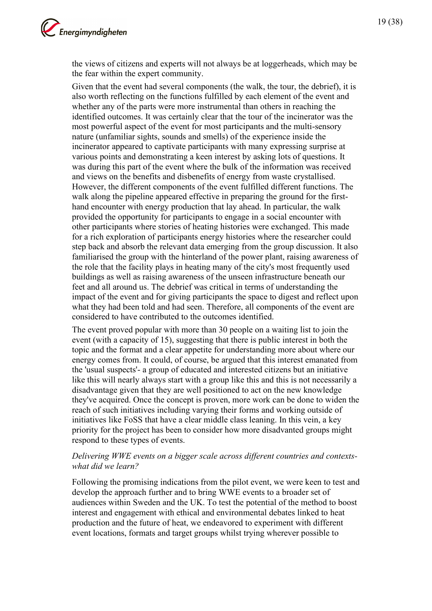

the views of citizens and experts will not always be at loggerheads, which may be the fear within the expert community.

Given that the event had several components (the walk, the tour, the debrief), it is also worth reflecting on the functions fulfilled by each element of the event and whether any of the parts were more instrumental than others in reaching the identified outcomes. It was certainly clear that the tour of the incinerator was the most powerful aspect of the event for most participants and the multi-sensory nature (unfamiliar sights, sounds and smells) of the experience inside the incinerator appeared to captivate participants with many expressing surprise at various points and demonstrating a keen interest by asking lots of questions. It was during this part of the event where the bulk of the information was received and views on the benefits and disbenefits of energy from waste crystallised. However, the different components of the event fulfilled different functions. The walk along the pipeline appeared effective in preparing the ground for the firsthand encounter with energy production that lay ahead. In particular, the walk provided the opportunity for participants to engage in a social encounter with other participants where stories of heating histories were exchanged. This made for a rich exploration of participants energy histories where the researcher could step back and absorb the relevant data emerging from the group discussion. It also familiarised the group with the hinterland of the power plant, raising awareness of the role that the facility plays in heating many of the city's most frequently used buildings as well as raising awareness of the unseen infrastructure beneath our feet and all around us. The debrief was critical in terms of understanding the impact of the event and for giving participants the space to digest and reflect upon what they had been told and had seen. Therefore, all components of the event are considered to have contributed to the outcomes identified.

The event proved popular with more than 30 people on a waiting list to join the event (with a capacity of 15), suggesting that there is public interest in both the topic and the format and a clear appetite for understanding more about where our energy comes from. It could, of course, be argued that this interest emanated from the 'usual suspects'- a group of educated and interested citizens but an initiative like this will nearly always start with a group like this and this is not necessarily a disadvantage given that they are well positioned to act on the new knowledge they've acquired. Once the concept is proven, more work can be done to widen the reach of such initiatives including varying their forms and working outside of initiatives like FoSS that have a clear middle class leaning. In this vein, a key priority for the project has been to consider how more disadvanted groups might respond to these types of events.

#### *Delivering WWE events on a bigger scale across different countries and contextswhat did we learn?*

Following the promising indications from the pilot event, we were keen to test and develop the approach further and to bring WWE events to a broader set of audiences within Sweden and the UK. To test the potential of the method to boost interest and engagement with ethical and environmental debates linked to heat production and the future of heat, we endeavored to experiment with different event locations, formats and target groups whilst trying wherever possible to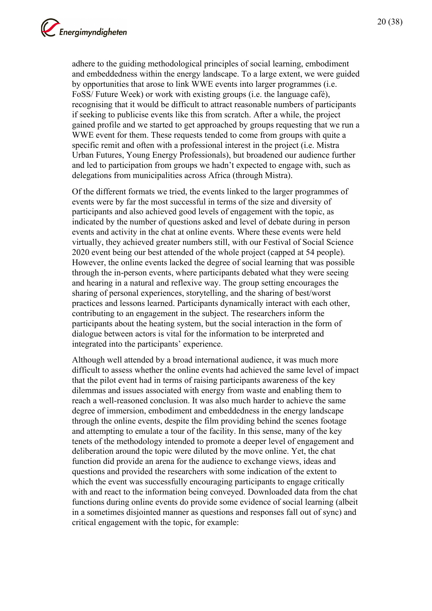adhere to the guiding methodological principles of social learning, embodiment and embeddedness within the energy landscape. To a large extent, we were guided by opportunities that arose to link WWE events into larger programmes (i.e. FoSS/ Future Week) or work with existing groups (i.e. the language café), recognising that it would be difficult to attract reasonable numbers of participants if seeking to publicise events like this from scratch. After a while, the project gained profile and we started to get approached by groups requesting that we run a WWE event for them. These requests tended to come from groups with quite a specific remit and often with a professional interest in the project (i.e. Mistra Urban Futures, Young Energy Professionals), but broadened our audience further and led to participation from groups we hadn't expected to engage with, such as delegations from municipalities across Africa (through Mistra).

Of the different formats we tried, the events linked to the larger programmes of events were by far the most successful in terms of the size and diversity of participants and also achieved good levels of engagement with the topic, as indicated by the number of questions asked and level of debate during in person events and activity in the chat at online events. Where these events were held virtually, they achieved greater numbers still, with our Festival of Social Science 2020 event being our best attended of the whole project (capped at 54 people). However, the online events lacked the degree of social learning that was possible through the in-person events, where participants debated what they were seeing and hearing in a natural and reflexive way. The group setting encourages the sharing of personal experiences, storytelling, and the sharing of best/worst practices and lessons learned. Participants dynamically interact with each other, contributing to an engagement in the subject. The researchers inform the participants about the heating system, but the social interaction in the form of dialogue between actors is vital for the information to be interpreted and integrated into the participants' experience.

Although well attended by a broad international audience, it was much more difficult to assess whether the online events had achieved the same level of impact that the pilot event had in terms of raising participants awareness of the key dilemmas and issues associated with energy from waste and enabling them to reach a well-reasoned conclusion. It was also much harder to achieve the same degree of immersion, embodiment and embeddedness in the energy landscape through the online events, despite the film providing behind the scenes footage and attempting to emulate a tour of the facility. In this sense, many of the key tenets of the methodology intended to promote a deeper level of engagement and deliberation around the topic were diluted by the move online. Yet, the chat function did provide an arena for the audience to exchange views, ideas and questions and provided the researchers with some indication of the extent to which the event was successfully encouraging participants to engage critically with and react to the information being conveyed. Downloaded data from the chat functions during online events do provide some evidence of social learning (albeit in a sometimes disjointed manner as questions and responses fall out of sync) and critical engagement with the topic, for example: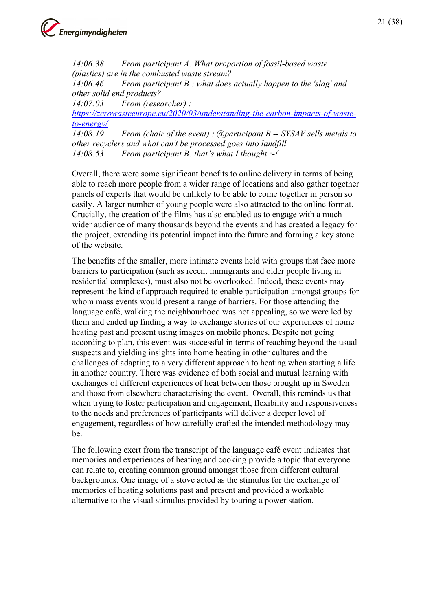

*14:06:38 From participant A: What proportion of fossil-based waste (plastics) are in the combusted waste stream?*

*14:06:46 From participant B : what does actually happen to the 'slag' and other solid end products?*

*14:07:03 From (researcher) :* 

*[https://zerowasteeurope.eu/2020/03/understanding-the-carbon-impacts-of-waste](https://zerowasteeurope.eu/2020/03/understanding-the-carbon-impacts-of-waste-to-energy/)[to-energy/](https://zerowasteeurope.eu/2020/03/understanding-the-carbon-impacts-of-waste-to-energy/)*

*14:08:19 From (chair of the event) : @participant B -- SYSAV sells metals to other recyclers and what can't be processed goes into landfill 14:08:53 From participant B: that's what I thought :-(* 

Overall, there were some significant benefits to online delivery in terms of being able to reach more people from a wider range of locations and also gather together panels of experts that would be unlikely to be able to come together in person so easily. A larger number of young people were also attracted to the online format. Crucially, the creation of the films has also enabled us to engage with a much wider audience of many thousands beyond the events and has created a legacy for the project, extending its potential impact into the future and forming a key stone of the website.

The benefits of the smaller, more intimate events held with groups that face more barriers to participation (such as recent immigrants and older people living in residential complexes), must also not be overlooked. Indeed, these events may represent the kind of approach required to enable participation amongst groups for whom mass events would present a range of barriers. For those attending the language café, walking the neighbourhood was not appealing, so we were led by them and ended up finding a way to exchange stories of our experiences of home heating past and present using images on mobile phones. Despite not going according to plan, this event was successful in terms of reaching beyond the usual suspects and yielding insights into home heating in other cultures and the challenges of adapting to a very different approach to heating when starting a life in another country. There was evidence of both social and mutual learning with exchanges of different experiences of heat between those brought up in Sweden and those from elsewhere characterising the event. Overall, this reminds us that when trying to foster participation and engagement, flexibility and responsiveness to the needs and preferences of participants will deliver a deeper level of engagement, regardless of how carefully crafted the intended methodology may be.

The following exert from the transcript of the language café event indicates that memories and experiences of heating and cooking provide a topic that everyone can relate to, creating common ground amongst those from different cultural backgrounds. One image of a stove acted as the stimulus for the exchange of memories of heating solutions past and present and provided a workable alternative to the visual stimulus provided by touring a power station.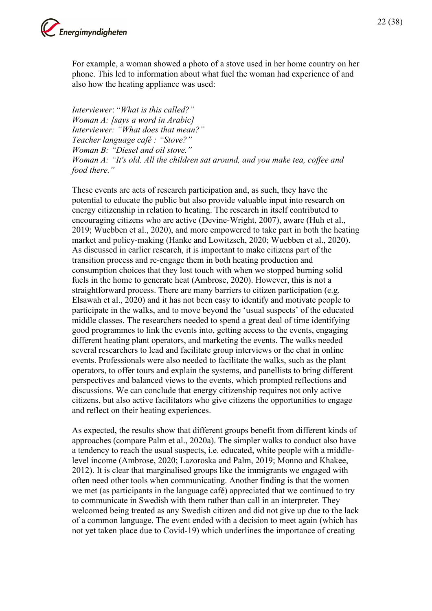

For example, a woman showed a photo of a stove used in her home country on her phone. This led to information about what fuel the woman had experience of and also how the heating appliance was used:

*Interviewer*: "*What is this called?" Woman A: [says a word in Arabic] Interviewer: "What does that mean?" Teacher language café : "Stove?" Woman B: "Diesel and oil stove." Woman A: "It's old. All the children sat around, and you make tea, coffee and food there."* 

These events are acts of research participation and, as such, they have the potential to educate the public but also provide valuable input into research on energy citizenship in relation to heating. The research in itself contributed to encouraging citizens who are active (Devine-Wright, 2007), aware (Huh et al., 2019; Wuebben et al., 2020), and more empowered to take part in both the heating market and policy-making (Hanke and Lowitzsch, 2020; Wuebben et al., 2020). As discussed in earlier research, it is important to make citizens part of the transition process and re-engage them in both heating production and consumption choices that they lost touch with when we stopped burning solid fuels in the home to generate heat (Ambrose, 2020). However, this is not a straightforward process. There are many barriers to citizen participation (e.g. Elsawah et al., 2020) and it has not been easy to identify and motivate people to participate in the walks, and to move beyond the 'usual suspects' of the educated middle classes. The researchers needed to spend a great deal of time identifying good programmes to link the events into, getting access to the events, engaging different heating plant operators, and marketing the events. The walks needed several researchers to lead and facilitate group interviews or the chat in online events. Professionals were also needed to facilitate the walks, such as the plant operators, to offer tours and explain the systems, and panellists to bring different perspectives and balanced views to the events, which prompted reflections and discussions. We can conclude that energy citizenship requires not only active citizens, but also active facilitators who give citizens the opportunities to engage and reflect on their heating experiences.

As expected, the results show that different groups benefit from different kinds of approaches (compare Palm et al., 2020a). The simpler walks to conduct also have a tendency to reach the usual suspects, i.e. educated, white people with a middlelevel income (Ambrose, 2020; Lazoroska and Palm, 2019; Monno and Khakee, 2012). It is clear that marginalised groups like the immigrants we engaged with often need other tools when communicating. Another finding is that the women we met (as participants in the language café) appreciated that we continued to try to communicate in Swedish with them rather than call in an interpreter. They welcomed being treated as any Swedish citizen and did not give up due to the lack of a common language. The event ended with a decision to meet again (which has not yet taken place due to Covid-19) which underlines the importance of creating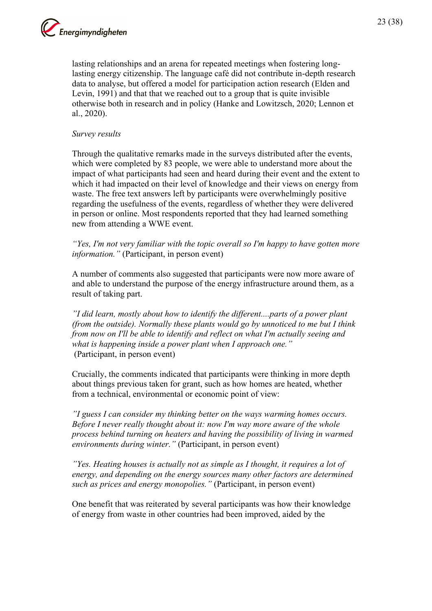

lasting relationships and an arena for repeated meetings when fostering longlasting energy citizenship. The language café did not contribute in-depth research data to analyse, but offered a model for participation action research (Elden and Levin, 1991) and that that we reached out to a group that is quite invisible otherwise both in research and in policy (Hanke and Lowitzsch, 2020; Lennon et al., 2020).

#### *Survey results*

Through the qualitative remarks made in the surveys distributed after the events, which were completed by 83 people, we were able to understand more about the impact of what participants had seen and heard during their event and the extent to which it had impacted on their level of knowledge and their views on energy from waste. The free text answers left by participants were overwhelmingly positive regarding the usefulness of the events, regardless of whether they were delivered in person or online. Most respondents reported that they had learned something new from attending a WWE event.

*"Yes, I'm not very familiar with the topic overall so I'm happy to have gotten more information."* (Participant, in person event)

A number of comments also suggested that participants were now more aware of and able to understand the purpose of the energy infrastructure around them, as a result of taking part.

*"I did learn, mostly about how to identify the different....parts of a power plant (from the outside). Normally these plants would go by unnoticed to me but I think from now on I'll be able to identify and reflect on what I'm actually seeing and what is happening inside a power plant when I approach one."* (Participant, in person event)

Crucially, the comments indicated that participants were thinking in more depth about things previous taken for grant, such as how homes are heated, whether from a technical, environmental or economic point of view:

*"I guess I can consider my thinking better on the ways warming homes occurs. Before I never really thought about it: now I'm way more aware of the whole process behind turning on heaters and having the possibility of living in warmed environments during winter."* (Participant, in person event)

*"Yes. Heating houses is actually not as simple as I thought, it requires a lot of energy, and depending on the energy sources many other factors are determined such as prices and energy monopolies."* (Participant, in person event)

One benefit that was reiterated by several participants was how their knowledge of energy from waste in other countries had been improved, aided by the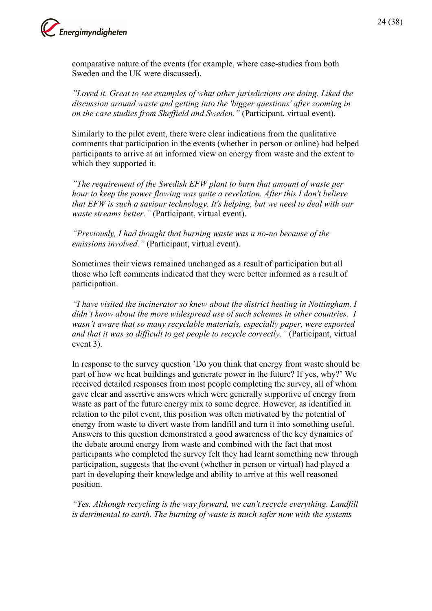

comparative nature of the events (for example, where case-studies from both Sweden and the UK were discussed).

*"Loved it. Great to see examples of what other jurisdictions are doing. Liked the discussion around waste and getting into the 'bigger questions' after zooming in on the case studies from Sheffield and Sweden."* (Participant, virtual event).

Similarly to the pilot event, there were clear indications from the qualitative comments that participation in the events (whether in person or online) had helped participants to arrive at an informed view on energy from waste and the extent to which they supported it.

*"The requirement of the Swedish EFW plant to burn that amount of waste per hour to keep the power flowing was quite a revelation. After this I don't believe that EFW is such a saviour technology. It's helping, but we need to deal with our waste streams better."* (Participant, virtual event).

*"Previously, I had thought that burning waste was a no-no because of the emissions involved."* (Participant, virtual event).

Sometimes their views remained unchanged as a result of participation but all those who left comments indicated that they were better informed as a result of participation.

*"I have visited the incinerator so knew about the district heating in Nottingham. I didn't know about the more widespread use of such schemes in other countries. I wasn't aware that so many recyclable materials, especially paper, were exported and that it was so difficult to get people to recycle correctly."* (Participant, virtual event 3).

In response to the survey question 'Do you think that energy from waste should be part of how we heat buildings and generate power in the future? If yes, why?' We received detailed responses from most people completing the survey, all of whom gave clear and assertive answers which were generally supportive of energy from waste as part of the future energy mix to some degree. However, as identified in relation to the pilot event, this position was often motivated by the potential of energy from waste to divert waste from landfill and turn it into something useful. Answers to this question demonstrated a good awareness of the key dynamics of the debate around energy from waste and combined with the fact that most participants who completed the survey felt they had learnt something new through participation, suggests that the event (whether in person or virtual) had played a part in developing their knowledge and ability to arrive at this well reasoned position.

*"Yes. Although recycling is the way forward, we can't recycle everything. Landfill is detrimental to earth. The burning of waste is much safer now with the systems*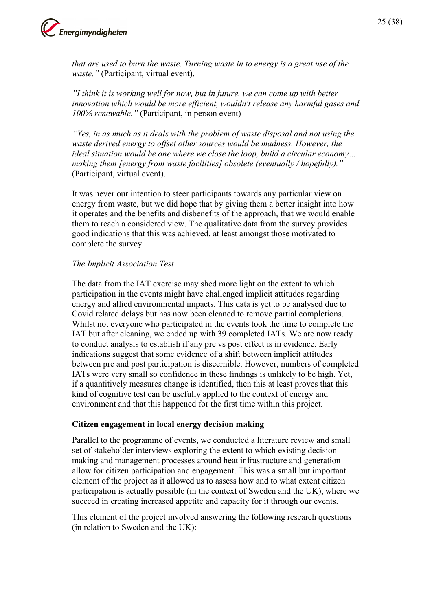

*that are used to burn the waste. Turning waste in to energy is a great use of the waste."* (Participant, virtual event).

*"I think it is working well for now, but in future, we can come up with better innovation which would be more efficient, wouldn't release any harmful gases and 100% renewable."* (Participant, in person event)

*"Yes, in as much as it deals with the problem of waste disposal and not using the waste derived energy to offset other sources would be madness. However, the ideal situation would be one where we close the loop, build a circular economy…. making them [energy from waste facilities] obsolete (eventually / hopefully)."* (Participant, virtual event).

It was never our intention to steer participants towards any particular view on energy from waste, but we did hope that by giving them a better insight into how it operates and the benefits and disbenefits of the approach, that we would enable them to reach a considered view. The qualitative data from the survey provides good indications that this was achieved, at least amongst those motivated to complete the survey.

#### *The Implicit Association Test*

The data from the IAT exercise may shed more light on the extent to which participation in the events might have challenged implicit attitudes regarding energy and allied environmental impacts. This data is yet to be analysed due to Covid related delays but has now been cleaned to remove partial completions. Whilst not everyone who participated in the events took the time to complete the IAT but after cleaning, we ended up with 39 completed IATs. We are now ready to conduct analysis to establish if any pre vs post effect is in evidence. Early indications suggest that some evidence of a shift between implicit attitudes between pre and post participation is discernible. However, numbers of completed IATs were very small so confidence in these findings is unlikely to be high. Yet, if a quantitively measures change is identified, then this at least proves that this kind of cognitive test can be usefully applied to the context of energy and environment and that this happened for the first time within this project.

#### **Citizen engagement in local energy decision making**

Parallel to the programme of events, we conducted a literature review and small set of stakeholder interviews exploring the extent to which existing decision making and management processes around heat infrastructure and generation allow for citizen participation and engagement. This was a small but important element of the project as it allowed us to assess how and to what extent citizen participation is actually possible (in the context of Sweden and the UK), where we succeed in creating increased appetite and capacity for it through our events.

This element of the project involved answering the following research questions (in relation to Sweden and the UK):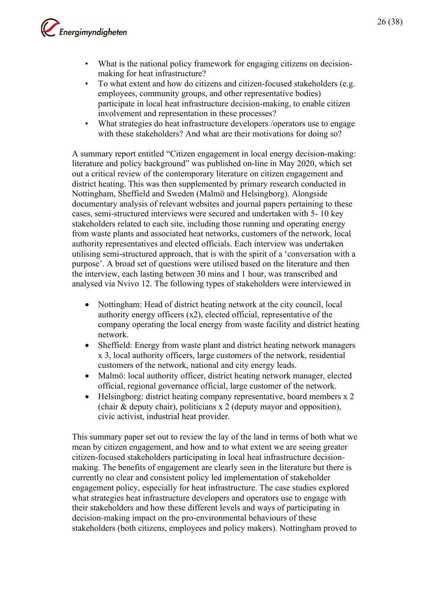

- What is the national policy framework for engaging citizens on decisionmaking for heat infrastructure?
- To what extent and how do citizens and citizen-focused stakeholders (e.g. employees, community groups, and other representative bodies) participate in local heat infrastructure decision-making, to enable citizen involvement and representation in these processes?
- What strategies do heat infrastructure developers /operators use to engage with these stakeholders? And what are their motivations for doing so?

A summary report entitled "Citizen engagement in local energy decision-making: literature and policy background" was published on-line in May 2020, which set out a critical review of the contemporary literature on citizen engagement and district heating. This was then supplemented by primary research conducted in Nottingham, Sheffield and Sweden (Malmö and Helsingborg). Alongside documentary analysis of relevant websites and journal papers pertaining to these cases, semi-structured interviews were secured and undertaken with 5- 10 key stakeholders related to each site, including those running and operating energy from waste plants and associated heat networks, customers of the network, local authority representatives and elected officials. Each interview was undertaken utilising semi-structured approach, that is with the spirit of a 'conversation with a purpose'. A broad set of questions were utilised based on the literature and then the interview, each lasting between 30 mins and 1 hour, was transcribed and analysed via Nvivo 12. The following types of stakeholders were interviewed in

- Nottingham: Head of district heating network at the city council, local authority energy officers (x2), elected official, representative of the company operating the local energy from waste facility and district heating network.
- Sheffield: Energy from waste plant and district heating network managers x 3, local authority officers, large customers of the network, residential customers of the network, national and city energy leads.
- Malmö: local authority officer, district heating network manager, elected official, regional governance official, large customer of the network.
- Helsingborg: district heating company representative, board members x 2 (chair & deputy chair), politicians x 2 (deputy mayor and opposition), civic activist, industrial heat provider.

This summary paper set out to review the lay of the land in terms of both what we mean by citizen engagement, and how and to what extent we are seeing greater citizen-focused stakeholders participating in local heat infrastructure decisionmaking. The benefits of engagement are clearly seen in the literature but there is currently no clear and consistent policy led implementation of stakeholder engagement policy, especially for heat infrastructure. The case studies explored what strategies heat infrastructure developers and operators use to engage with their stakeholders and how these different levels and ways of participating in decision-making impact on the pro-environmental behaviours of these stakeholders (both citizens, employees and policy makers). Nottingham proved to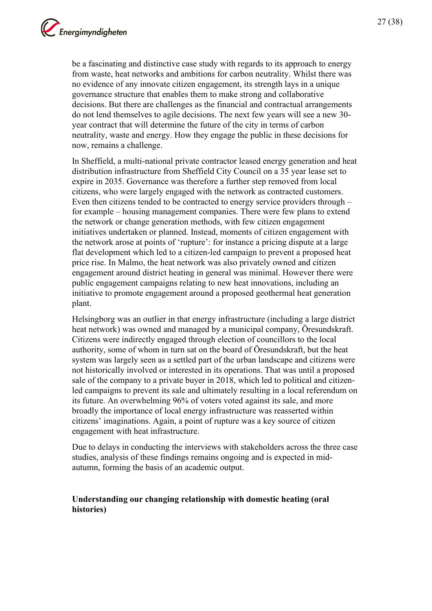be a fascinating and distinctive case study with regards to its approach to energy from waste, heat networks and ambitions for carbon neutrality. Whilst there was no evidence of any innovate citizen engagement, its strength lays in a unique governance structure that enables them to make strong and collaborative decisions. But there are challenges as the financial and contractual arrangements do not lend themselves to agile decisions. The next few years will see a new 30 year contract that will determine the future of the city in terms of carbon neutrality, waste and energy. How they engage the public in these decisions for now, remains a challenge.

In Sheffield, a multi-national private contractor leased energy generation and heat distribution infrastructure from Sheffield City Council on a 35 year lease set to expire in 2035. Governance was therefore a further step removed from local citizens, who were largely engaged with the network as contracted customers. Even then citizens tended to be contracted to energy service providers through – for example – housing management companies. There were few plans to extend the network or change generation methods, with few citizen engagement initiatives undertaken or planned. Instead, moments of citizen engagement with the network arose at points of 'rupture': for instance a pricing dispute at a large flat development which led to a citizen-led campaign to prevent a proposed heat price rise. In Malmo, the heat network was also privately owned and citizen engagement around district heating in general was minimal. However there were public engagement campaigns relating to new heat innovations, including an initiative to promote engagement around a proposed geothermal heat generation plant.

Helsingborg was an outlier in that energy infrastructure (including a large district heat network) was owned and managed by a municipal company, Öresundskraft. Citizens were indirectly engaged through election of councillors to the local authority, some of whom in turn sat on the board of Öresundskraft, but the heat system was largely seen as a settled part of the urban landscape and citizens were not historically involved or interested in its operations. That was until a proposed sale of the company to a private buyer in 2018, which led to political and citizenled campaigns to prevent its sale and ultimately resulting in a local referendum on its future. An overwhelming 96% of voters voted against its sale, and more broadly the importance of local energy infrastructure was reasserted within citizens' imaginations. Again, a point of rupture was a key source of citizen engagement with heat infrastructure.

Due to delays in conducting the interviews with stakeholders across the three case studies, analysis of these findings remains ongoing and is expected in midautumn, forming the basis of an academic output.

#### **Understanding our changing relationship with domestic heating (oral histories)**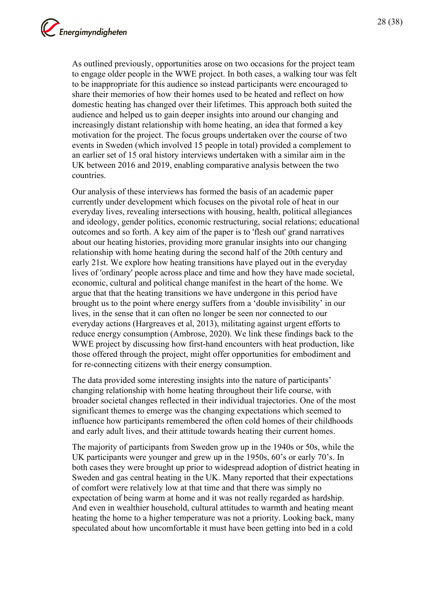As outlined previously, opportunities arose on two occasions for the project team to engage older people in the WWE project. In both cases, a walking tour was felt to be inappropriate for this audience so instead participants were encouraged to share their memories of how their homes used to be heated and reflect on how domestic heating has changed over their lifetimes. This approach both suited the audience and helped us to gain deeper insights into around our changing and increasingly distant relationship with home heating, an idea that formed a key motivation for the project. The focus groups undertaken over the course of two events in Sweden (which involved 15 people in total) provided a complement to an earlier set of 15 oral history interviews undertaken with a similar aim in the UK between 2016 and 2019, enabling comparative analysis between the two countries.

Our analysis of these interviews has formed the basis of an academic paper currently under development which focuses on the pivotal role of heat in our everyday lives, revealing intersections with housing, health, political allegiances and ideology, gender politics, economic restructuring, social relations; educational outcomes and so forth. A key aim of the paper is to 'flesh out' grand narratives about our heating histories, providing more granular insights into our changing relationship with home heating during the second half of the 20th century and early 21st. We explore how heating transitions have played out in the everyday lives of 'ordinary' people across place and time and how they have made societal, economic, cultural and political change manifest in the heart of the home. We argue that that the heating transitions we have undergone in this period have brought us to the point where energy suffers from a 'double invisibility' in our lives, in the sense that it can often no longer be seen nor connected to our everyday actions (Hargreaves et al, 2013), militating against urgent efforts to reduce energy consumption (Ambrose, 2020). We link these findings back to the WWE project by discussing how first-hand encounters with heat production, like those offered through the project, might offer opportunities for embodiment and for re-connecting citizens with their energy consumption.

The data provided some interesting insights into the nature of participants' changing relationship with home heating throughout their life course, with broader societal changes reflected in their individual trajectories. One of the most significant themes to emerge was the changing expectations which seemed to influence how participants remembered the often cold homes of their childhoods and early adult lives, and their attitude towards heating their current homes.

The majority of participants from Sweden grow up in the 1940s or 50s, while the UK participants were younger and grew up in the 1950s, 60's or early 70's. In both cases they were brought up prior to widespread adoption of district heating in Sweden and gas central heating in the UK. Many reported that their expectations of comfort were relatively low at that time and that there was simply no expectation of being warm at home and it was not really regarded as hardship. And even in wealthier household, cultural attitudes to warmth and heating meant heating the home to a higher temperature was not a priority. Looking back, many speculated about how uncomfortable it must have been getting into bed in a cold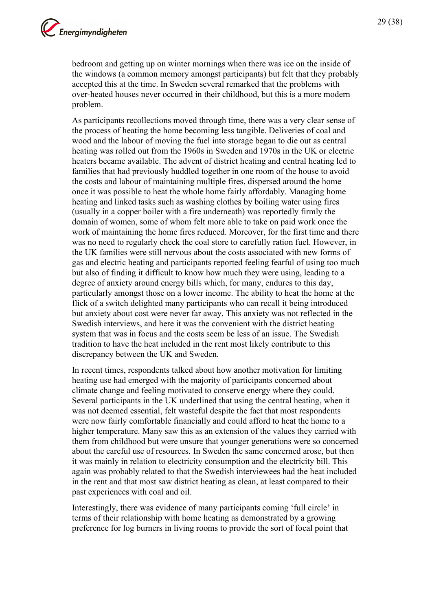bedroom and getting up on winter mornings when there was ice on the inside of the windows (a common memory amongst participants) but felt that they probably accepted this at the time. In Sweden several remarked that the problems with over-heated houses never occurred in their childhood, but this is a more modern problem.

As participants recollections moved through time, there was a very clear sense of the process of heating the home becoming less tangible. Deliveries of coal and wood and the labour of moving the fuel into storage began to die out as central heating was rolled out from the 1960s in Sweden and 1970s in the UK or electric heaters became available. The advent of district heating and central heating led to families that had previously huddled together in one room of the house to avoid the costs and labour of maintaining multiple fires, dispersed around the home once it was possible to heat the whole home fairly affordably. Managing home heating and linked tasks such as washing clothes by boiling water using fires (usually in a copper boiler with a fire underneath) was reportedly firmly the domain of women, some of whom felt more able to take on paid work once the work of maintaining the home fires reduced. Moreover, for the first time and there was no need to regularly check the coal store to carefully ration fuel. However, in the UK families were still nervous about the costs associated with new forms of gas and electric heating and participants reported feeling fearful of using too much but also of finding it difficult to know how much they were using, leading to a degree of anxiety around energy bills which, for many, endures to this day, particularly amongst those on a lower income. The ability to heat the home at the flick of a switch delighted many participants who can recall it being introduced but anxiety about cost were never far away. This anxiety was not reflected in the Swedish interviews, and here it was the convenient with the district heating system that was in focus and the costs seem be less of an issue. The Swedish tradition to have the heat included in the rent most likely contribute to this discrepancy between the UK and Sweden.

In recent times, respondents talked about how another motivation for limiting heating use had emerged with the majority of participants concerned about climate change and feeling motivated to conserve energy where they could. Several participants in the UK underlined that using the central heating, when it was not deemed essential, felt wasteful despite the fact that most respondents were now fairly comfortable financially and could afford to heat the home to a higher temperature. Many saw this as an extension of the values they carried with them from childhood but were unsure that younger generations were so concerned about the careful use of resources. In Sweden the same concerned arose, but then it was mainly in relation to electricity consumption and the electricity bill. This again was probably related to that the Swedish interviewees had the heat included in the rent and that most saw district heating as clean, at least compared to their past experiences with coal and oil.

Interestingly, there was evidence of many participants coming 'full circle' in terms of their relationship with home heating as demonstrated by a growing preference for log burners in living rooms to provide the sort of focal point that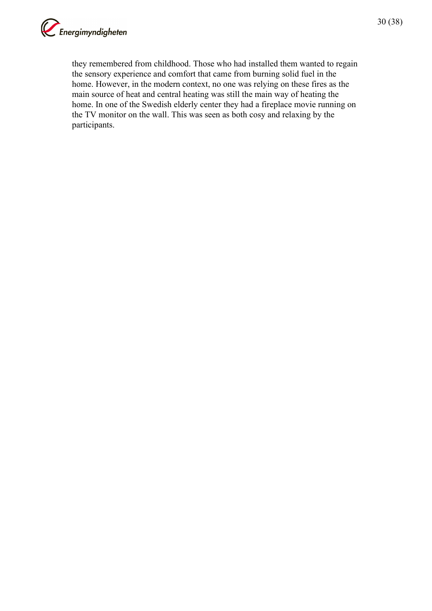

they remembered from childhood. Those who had installed them wanted to regain the sensory experience and comfort that came from burning solid fuel in the home. However, in the modern context, no one was relying on these fires as the main source of heat and central heating was still the main way of heating the home. In one of the Swedish elderly center they had a fireplace movie running on the TV monitor on the wall. This was seen as both cosy and relaxing by the participants.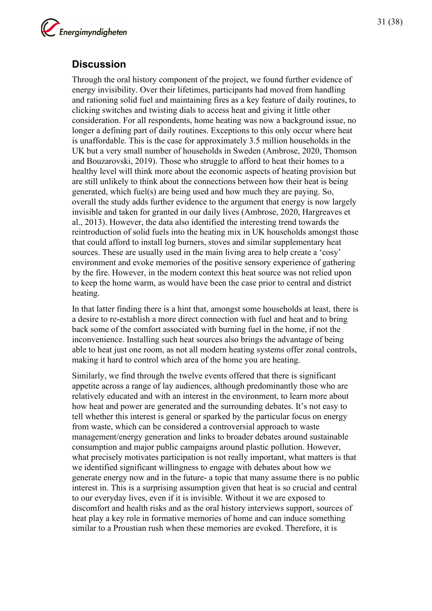

## <span id="page-30-0"></span>**Discussion**

Through the oral history component of the project, we found further evidence of energy invisibility. Over their lifetimes, participants had moved from handling and rationing solid fuel and maintaining fires as a key feature of daily routines, to clicking switches and twisting dials to access heat and giving it little other consideration. For all respondents, home heating was now a background issue, no longer a defining part of daily routines. Exceptions to this only occur where heat is unaffordable. This is the case for approximately 3.5 million households in the UK but a very small number of households in Sweden (Ambrose, 2020, Thomson and Bouzarovski, 2019). Those who struggle to afford to heat their homes to a healthy level will think more about the economic aspects of heating provision but are still unlikely to think about the connections between how their heat is being generated, which fuel(s) are being used and how much they are paying. So, overall the study adds further evidence to the argument that energy is now largely invisible and taken for granted in our daily lives (Ambrose, 2020, Hargreaves et al., 2013). However, the data also identified the interesting trend towards the reintroduction of solid fuels into the heating mix in UK households amongst those that could afford to install log burners, stoves and similar supplementary heat sources. These are usually used in the main living area to help create a 'cosy' environment and evoke memories of the positive sensory experience of gathering by the fire. However, in the modern context this heat source was not relied upon to keep the home warm, as would have been the case prior to central and district heating.

In that latter finding there is a hint that, amongst some households at least, there is a desire to re-establish a more direct connection with fuel and heat and to bring back some of the comfort associated with burning fuel in the home, if not the inconvenience. Installing such heat sources also brings the advantage of being able to heat just one room, as not all modern heating systems offer zonal controls, making it hard to control which area of the home you are heating.

Similarly, we find through the twelve events offered that there is significant appetite across a range of lay audiences, although predominantly those who are relatively educated and with an interest in the environment, to learn more about how heat and power are generated and the surrounding debates. It's not easy to tell whether this interest is general or sparked by the particular focus on energy from waste, which can be considered a controversial approach to waste management/energy generation and links to broader debates around sustainable consumption and major public campaigns around plastic pollution. However, what precisely motivates participation is not really important, what matters is that we identified significant willingness to engage with debates about how we generate energy now and in the future- a topic that many assume there is no public interest in. This is a surprising assumption given that heat is so crucial and central to our everyday lives, even if it is invisible. Without it we are exposed to discomfort and health risks and as the oral history interviews support, sources of heat play a key role in formative memories of home and can induce something similar to a Proustian rush when these memories are evoked. Therefore, it is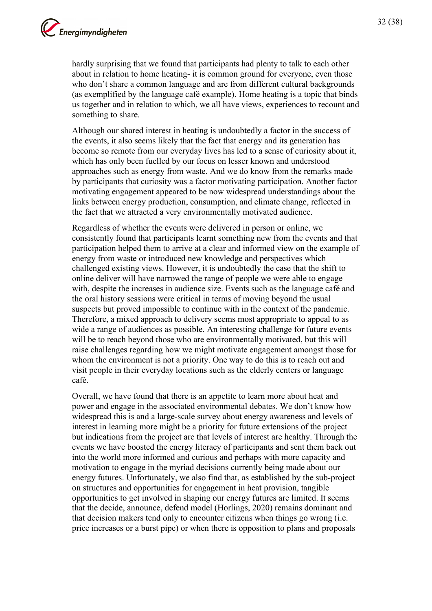hardly surprising that we found that participants had plenty to talk to each other about in relation to home heating- it is common ground for everyone, even those who don't share a common language and are from different cultural backgrounds (as exemplified by the language café example). Home heating is a topic that binds us together and in relation to which, we all have views, experiences to recount and something to share.

Although our shared interest in heating is undoubtedly a factor in the success of the events, it also seems likely that the fact that energy and its generation has become so remote from our everyday lives has led to a sense of curiosity about it, which has only been fuelled by our focus on lesser known and understood approaches such as energy from waste. And we do know from the remarks made by participants that curiosity was a factor motivating participation. Another factor motivating engagement appeared to be now widespread understandings about the links between energy production, consumption, and climate change, reflected in the fact that we attracted a very environmentally motivated audience.

Regardless of whether the events were delivered in person or online, we consistently found that participants learnt something new from the events and that participation helped them to arrive at a clear and informed view on the example of energy from waste or introduced new knowledge and perspectives which challenged existing views. However, it is undoubtedly the case that the shift to online deliver will have narrowed the range of people we were able to engage with, despite the increases in audience size. Events such as the language café and the oral history sessions were critical in terms of moving beyond the usual suspects but proved impossible to continue with in the context of the pandemic. Therefore, a mixed approach to delivery seems most appropriate to appeal to as wide a range of audiences as possible. An interesting challenge for future events will be to reach beyond those who are environmentally motivated, but this will raise challenges regarding how we might motivate engagement amongst those for whom the environment is not a priority. One way to do this is to reach out and visit people in their everyday locations such as the elderly centers or language café.

Overall, we have found that there is an appetite to learn more about heat and power and engage in the associated environmental debates. We don't know how widespread this is and a large-scale survey about energy awareness and levels of interest in learning more might be a priority for future extensions of the project but indications from the project are that levels of interest are healthy. Through the events we have boosted the energy literacy of participants and sent them back out into the world more informed and curious and perhaps with more capacity and motivation to engage in the myriad decisions currently being made about our energy futures. Unfortunately, we also find that, as established by the sub-project on structures and opportunities for engagement in heat provision, tangible opportunities to get involved in shaping our energy futures are limited. It seems that the decide, announce, defend model (Horlings, 2020) remains dominant and that decision makers tend only to encounter citizens when things go wrong (i.e. price increases or a burst pipe) or when there is opposition to plans and proposals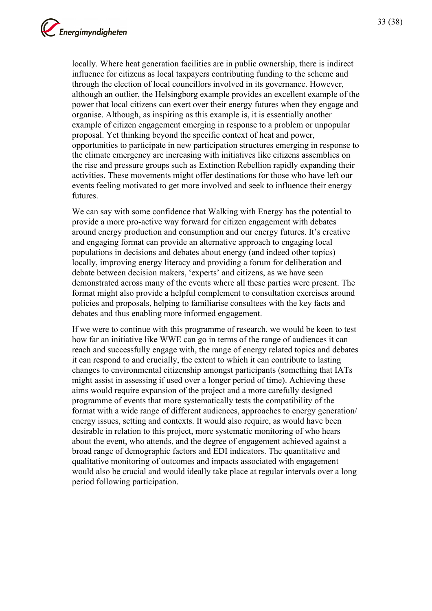locally. Where heat generation facilities are in public ownership, there is indirect influence for citizens as local taxpayers contributing funding to the scheme and through the election of local councillors involved in its governance. However, although an outlier, the Helsingborg example provides an excellent example of the power that local citizens can exert over their energy futures when they engage and organise. Although, as inspiring as this example is, it is essentially another example of citizen engagement emerging in response to a problem or unpopular proposal. Yet thinking beyond the specific context of heat and power, opportunities to participate in new participation structures emerging in response to the climate emergency are increasing with initiatives like citizens assemblies on the rise and pressure groups such as Extinction Rebellion rapidly expanding their activities. These movements might offer destinations for those who have left our events feeling motivated to get more involved and seek to influence their energy futures.

We can say with some confidence that Walking with Energy has the potential to provide a more pro-active way forward for citizen engagement with debates around energy production and consumption and our energy futures. It's creative and engaging format can provide an alternative approach to engaging local populations in decisions and debates about energy (and indeed other topics) locally, improving energy literacy and providing a forum for deliberation and debate between decision makers, 'experts' and citizens, as we have seen demonstrated across many of the events where all these parties were present. The format might also provide a helpful complement to consultation exercises around policies and proposals, helping to familiarise consultees with the key facts and debates and thus enabling more informed engagement.

If we were to continue with this programme of research, we would be keen to test how far an initiative like WWE can go in terms of the range of audiences it can reach and successfully engage with, the range of energy related topics and debates it can respond to and crucially, the extent to which it can contribute to lasting changes to environmental citizenship amongst participants (something that IATs might assist in assessing if used over a longer period of time). Achieving these aims would require expansion of the project and a more carefully designed programme of events that more systematically tests the compatibility of the format with a wide range of different audiences, approaches to energy generation/ energy issues, setting and contexts. It would also require, as would have been desirable in relation to this project, more systematic monitoring of who hears about the event, who attends, and the degree of engagement achieved against a broad range of demographic factors and EDI indicators. The quantitative and qualitative monitoring of outcomes and impacts associated with engagement would also be crucial and would ideally take place at regular intervals over a long period following participation.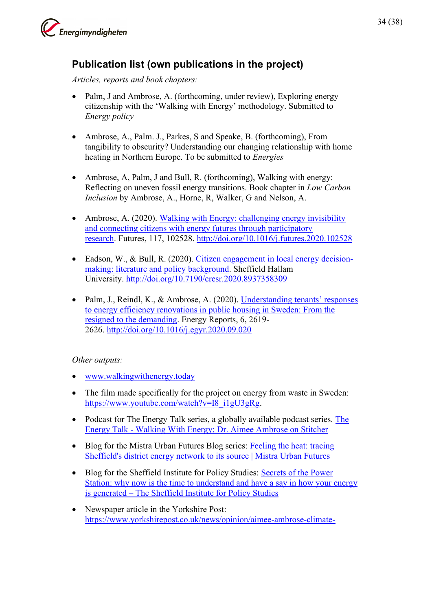

## <span id="page-33-0"></span>**Publication list (own publications in the project)**

*Articles, reports and book chapters:* 

- Palm, J and Ambrose, A. (forthcoming, under review), Exploring energy citizenship with the 'Walking with Energy' methodology. Submitted to *Energy policy*
- Ambrose, A., Palm. J., Parkes, S and Speake, B. (forthcoming), From tangibility to obscurity? Understanding our changing relationship with home heating in Northern Europe. To be submitted to *Energies*
- Ambrose, A, Palm, J and Bull, R. (forthcoming), Walking with energy: Reflecting on uneven fossil energy transitions. Book chapter in *Low Carbon Inclusion* by Ambrose, A., Horne, R, Walker, G and Nelson, A.
- Ambrose, A. (2020). Walking with Energy: challenging energy invisibility [and connecting citizens with energy futures through participatory](http://shura.shu.ac.uk/id/eprint/25764)  [research.](http://shura.shu.ac.uk/id/eprint/25764) Futures, 117, 102528.<http://doi.org/10.1016/j.futures.2020.102528>
- Eadson, W., & Bull, R. (2020). [Citizen engagement in local energy decision](http://shura.shu.ac.uk/id/eprint/26499)[making: literature and policy background.](http://shura.shu.ac.uk/id/eprint/26499) Sheffield Hallam University.<http://doi.org/10.7190/cresr.2020.8937358309>
- Palm, J., Reindl, K., & Ambrose, A. (2020). Understanding tenants' responses [to energy efficiency renovations in public housing in Sweden: From the](http://shura.shu.ac.uk/id/eprint/27343)  [resigned to the demanding.](http://shura.shu.ac.uk/id/eprint/27343) Energy Reports, 6, 2619- 2626.<http://doi.org/10.1016/j.egyr.2020.09.020>

#### *Other outputs:*

- [www.walkingwithenergy.today](http://www.walkingwithenergy.today/)
- The film made specifically for the project on energy from waste in Sweden: [https://www.youtube.com/watch?v=I8\\_i1gU3gRg.](https://www.youtube.com/watch?v=I8_i1gU3gRg)
- Podcast for [The](https://www.stitcher.com/show/the-energy-talk/episode/walking-with-energy-dr-aimee-ambrose-82606665) Energy Talk series, a globally available podcast series. The [Energy Talk - Walking With Energy: Dr. Aimee Ambrose on Stitcher](https://www.stitcher.com/show/the-energy-talk/episode/walking-with-energy-dr-aimee-ambrose-82606665)
- Blog for the Mistra Urban Futures Blog series: Feeling the heat: tracing [Sheffield's district energy network to its source | Mistra Urban Futures](https://www.mistraurbanfutures.org/en/blog/feeling-heat-tracing-sheffields-district-energy-network-its-source)
- Blog for the Sheffield Institute for Policy Studies: Secrets of the Power [Station: why now is the time to understand and have a say in how your energy](https://sheffieldinstituteforpolicystudies.com/2020/11/11/secrets-of-the-power-station-why-now-is-the-time-to-understand-and-have-a-say-in-how-your-energy-is-generated/)  is generated – [The Sheffield Institute for Policy Studies](https://sheffieldinstituteforpolicystudies.com/2020/11/11/secrets-of-the-power-station-why-now-is-the-time-to-understand-and-have-a-say-in-how-your-energy-is-generated/)
- Newspaper article in the Yorkshire Post: [https://www.yorkshirepost.co.uk/news/opinion/aimee-ambrose-climate-](https://www.yorkshirepost.co.uk/news/opinion/aimee-ambrose-climate-change-emergency-shows-we-need-to-know-more-about-how-we-heat-our-homes-1-9445086)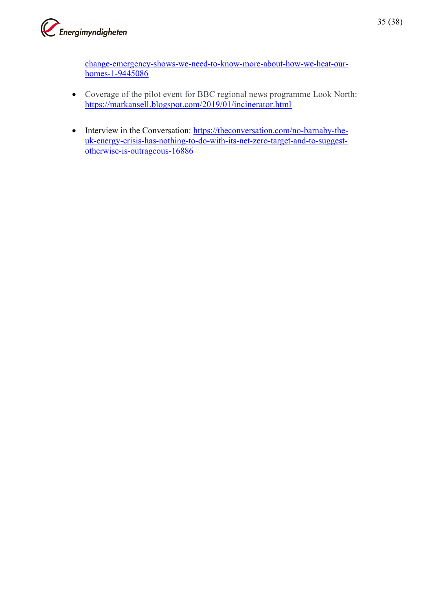

[change-emergency-shows-we-need-to-know-more-about-how-we-heat-our](https://www.yorkshirepost.co.uk/news/opinion/aimee-ambrose-climate-change-emergency-shows-we-need-to-know-more-about-how-we-heat-our-homes-1-9445086)[homes-1-9445086](https://www.yorkshirepost.co.uk/news/opinion/aimee-ambrose-climate-change-emergency-shows-we-need-to-know-more-about-how-we-heat-our-homes-1-9445086)

- Coverage of the pilot event for BBC regional news programme Look North: <https://markansell.blogspot.com/2019/01/incinerator.html>
- Interview in the Conversation: [https://theconversation.com/no-barnaby-the](https://theconversation.com/no-barnaby-the-uk-energy-crisis-has-nothing-to-do-with-its-net-zero-target-and-to-suggest-otherwise-is-outrageous-16886)[uk-energy-crisis-has-nothing-to-do-with-its-net-zero-target-and-to-suggest](https://theconversation.com/no-barnaby-the-uk-energy-crisis-has-nothing-to-do-with-its-net-zero-target-and-to-suggest-otherwise-is-outrageous-16886)[otherwise-is-outrageous-16886](https://theconversation.com/no-barnaby-the-uk-energy-crisis-has-nothing-to-do-with-its-net-zero-target-and-to-suggest-otherwise-is-outrageous-16886)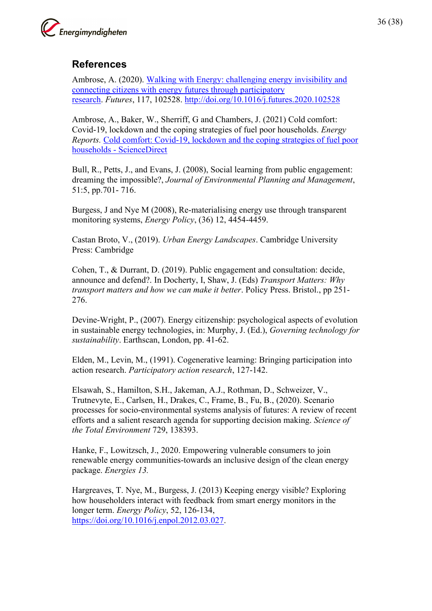

## <span id="page-35-0"></span>**References**

Ambrose, A. (2020). Walking with Energy: challenging energy invisibility and connecting citizens with energy futures through participatory research. *Futures*, 117, 102528. http://doi.org/10.1016/j.futures.2020.102528

Ambrose, A., Baker, W., Sherriff, G and Chambers, J. (2021) Cold comfort: Covid-19, lockdown and the coping strategies of fuel poor households. *Energy Reports.* Cold comfort: Covid-19, lockdown and the coping strategies of fuel poor households - ScienceDirect

Bull, R., Petts, J., and Evans, J. (2008), Social learning from public engagement: dreaming the impossible?, *Journal of Environmental Planning and Management*, 51:5, pp.701- 716.

Burgess, J and Nye M (2008), Re-materialising energy use through transparent monitoring systems, *Energy Policy*, (36) 12, 4454-4459.

Castan Broto, V., (2019). *Urban Energy Landscapes*. Cambridge University Press: Cambridge

Cohen, T., & Durrant, D. (2019). Public engagement and consultation: decide, announce and defend?. In Docherty, I, Shaw, J. (Eds) *Transport Matters: Why transport matters and how we can make it better*. Policy Press. Bristol., pp 251- 276.

Devine-Wright, P., (2007). Energy citizenship: psychological aspects of evolution in sustainable energy technologies, in: Murphy, J. (Ed.), *Governing technology for sustainability*. Earthscan, London, pp. 41-62.

Elden, M., Levin, M., (1991). Cogenerative learning: Bringing participation into action research. *Participatory action research*, 127-142.

Elsawah, S., Hamilton, S.H., Jakeman, A.J., Rothman, D., Schweizer, V., Trutnevyte, E., Carlsen, H., Drakes, C., Frame, B., Fu, B., (2020). Scenario processes for socio-environmental systems analysis of futures: A review of recent efforts and a salient research agenda for supporting decision making. *Science of the Total Environment* 729, 138393.

Hanke, F., Lowitzsch, J., 2020. Empowering vulnerable consumers to join renewable energy communities-towards an inclusive design of the clean energy package. *Energies 13.*

Hargreaves, T. Nye, M., Burgess, J. (2013) Keeping energy visible? Exploring how householders interact with feedback from smart energy monitors in the longer term. *Energy Policy*, 52, 126-134, https://doi.org/10.1016/j.enpol.2012.03.027.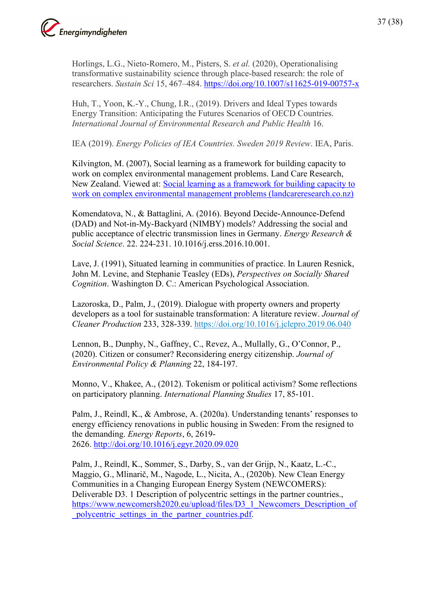

Horlings, L.G., Nieto-Romero, M., Pisters, S. *et al.* (2020), Operationalising transformative sustainability science through place-based research: the role of researchers. *Sustain Sci* 15, 467–484. https://doi.org/10.1007/s11625-019-00757-x

Huh, T., Yoon, K.-Y., Chung, I.R., (2019). Drivers and Ideal Types towards Energy Transition: Anticipating the Futures Scenarios of OECD Countries. *International Journal of Environmental Research and Public Health* 16.

IEA (2019). *Energy Policies of IEA Countries. Sweden 2019 Review*. IEA, Paris.

Kilvington, M. (2007), Social learning as a framework for building capacity to work on complex environmental management problems. Land Care Research, New Zealand. Viewed at: Social learning as a framework for building capacity to work on complex environmental management problems (landcareresearch.co.nz)

Komendatova, N., & Battaglini, A. (2016). Beyond Decide-Announce-Defend (DAD) and Not-in-My-Backyard (NIMBY) models? Addressing the social and public acceptance of electric transmission lines in Germany. *Energy Research & Social Science*. 22. 224-231. 10.1016/j.erss.2016.10.001.

Lave, J. (1991), Situated learning in communities of practice. In Lauren Resnick, John M. Levine, and Stephanie Teasley (EDs), *Perspectives on Socially Shared Cognition*. Washington D. C.: American Psychological Association.

Lazoroska, D., Palm, J., (2019). Dialogue with property owners and property developers as a tool for sustainable transformation: A literature review. *Journal of Cleaner Production* 233, 328-339. https://doi.org/10.1016/j.jclepro.2019.06.040

Lennon, B., Dunphy, N., Gaffney, C., Revez, A., Mullally, G., O'Connor, P., (2020). Citizen or consumer? Reconsidering energy citizenship. *Journal of Environmental Policy & Planning* 22, 184-197.

Monno, V., Khakee, A., (2012). Tokenism or political activism? Some reflections on participatory planning. *International Planning Studies* 17, 85-101.

Palm, J., Reindl, K., & Ambrose, A. (2020a). Understanding tenants' responses to energy efficiency renovations in public housing in Sweden: From the resigned to the demanding. *Energy Reports*, 6, 2619- 2626. http://doi.org/10.1016/j.egyr.2020.09.020

Palm, J., Reindl, K., Sommer, S., Darby, S., van der Grijp, N., Kaatz, L.-C., Maggio, G., Mlinarič, M., Nagode, L., Nicita, A., (2020b). New Clean Energy Communities in a Changing European Energy System (NEWCOMERS): Deliverable D3. 1 Description of polycentric settings in the partner countries., https://www.newcomersh2020.eu/upload/files/D3\_1\_Newcomers\_Description\_of polycentric settings in the partner countries.pdf.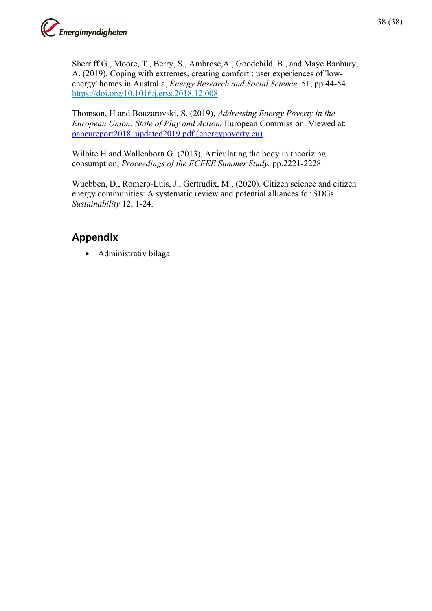

Sherriff G., Moore, T., Berry, S., Ambrose,A., Goodchild, B., and Maye Banbury, A. (2019), Coping with extremes, creating comfort : user experiences of 'lowenergy' homes in Australia, *Energy Research and Social Science,* 51, pp 44-54. https://doi.org/10.1016/j.erss.2018.12.008

Thomson, H and Bouzarovski, S. (2019), *Addressing Energy Poverty in the European Union: State of Play and Action.* European Commission. Viewed at: paneureport2018\_updated2019.pdf (energypoverty.eu)

Wilhite H and Wallenborn G. (2013), Articulating the body in theorizing consumption, *Proceedings of the ECEEE Summer Study.* pp.2221-2228.

Wuebben, D., Romero-Luis, J., Gertrudix, M., (2020). Citizen science and citizen energy communities: A systematic review and potential alliances for SDGs. *Sustainability* 12, 1-24.

## <span id="page-37-0"></span>**Appendix**

• Administrativ bilaga